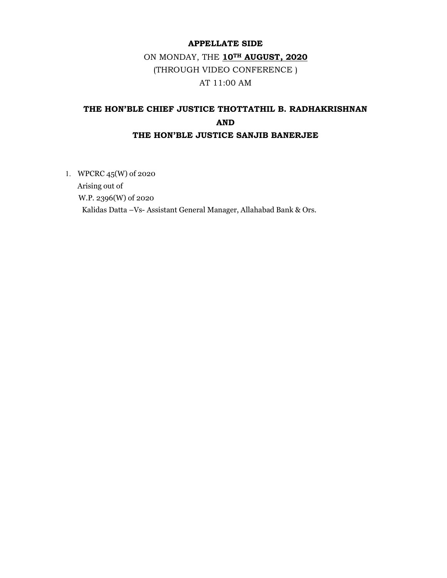# APPELLATE SIDE

# ON MONDAY, THE 10TH AUGUST, 2020 (THROUGH VIDEO CONFERENCE ) AT 11:00 AM

# THE HON'BLE CHIEF JUSTICE THOTTATHIL B. RADHAKRISHNAN AND THE HON'BLE JUSTICE SANJIB BANERJEE

1. WPCRC 45(W) of 2020 Arising out of W.P. 2396(W) of 2020 Kalidas Datta –Vs- Assistant General Manager, Allahabad Bank & Ors.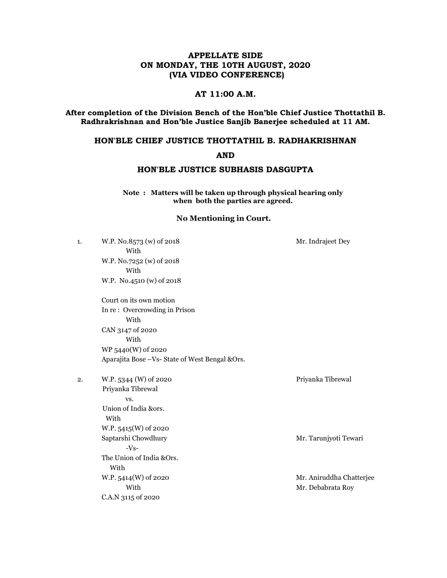# APPELLATE SIDE ON MONDAY, THE 10TH AUGUST, 2020 (VIA VIDEO CONFERENCE)

# AT 11:00 A.M.

After completion of the Division Bench of the Hon'ble Chief Justice Thottathil B. Radhrakrishnan and Hon'ble Justice Sanjib Banerjee scheduled at 11 AM.

### HON'BLE CHIEF JUSTICE THOTTATHIL B. RADHAKRISHNAN

#### AND

### HON'BLE JUSTICE SUBHASIS DASGUPTA

Note : Matters will be taken up through physical hearing only when both the parties are agreed.

#### No Mentioning in Court.

| 1. | W.P. No.8573 (w) of 2018<br>With                 | Mr. Indrajeet Dey        |
|----|--------------------------------------------------|--------------------------|
|    | W.P. No.7252 (w) of 2018                         |                          |
|    | With                                             |                          |
|    | W.P. No.4510 (w) of 2018                         |                          |
|    | Court on its own motion                          |                          |
|    | In re: Overcrowding in Prison                    |                          |
|    | With                                             |                          |
|    | CAN 3147 of 2020                                 |                          |
|    | With                                             |                          |
|    | WP 5440(W) of 2020                               |                          |
|    | Aparajita Bose - Vs- State of West Bengal & Ors. |                          |
| 2. | W.P. 5344 (W) of 2020                            | Priyanka Tibrewal        |
|    | Priyanka Tibrewal                                |                          |
|    | VS.                                              |                          |
|    | Union of India &ors.                             |                          |
|    | With                                             |                          |
|    | W.P. 5415(W) of 2020                             |                          |
|    | Saptarshi Chowdhury                              | Mr. Tarunjyoti Tewari    |
|    | $-Vs-$                                           |                          |
|    | The Union of India &Ors.                         |                          |
|    | With                                             |                          |
|    | W.P. 5414(W) of 2020                             | Mr. Aniruddha Chatterjee |
|    | With                                             | Mr. Debabrata Roy        |
|    | C.A.N 3115 of 2020                               |                          |
|    |                                                  |                          |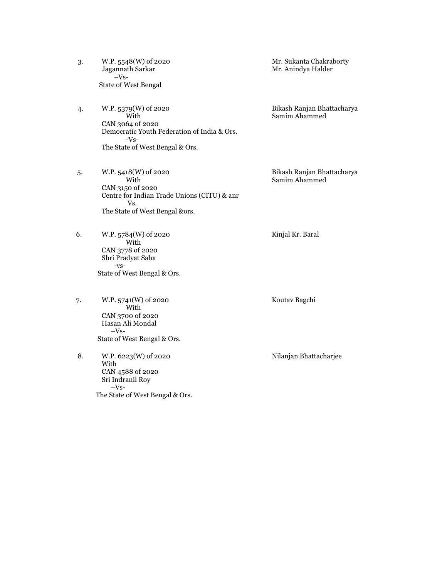- 3. W.P. 5548(W) of 2020<br>Jagannath Sarkar Mr. Anindya Halder –Vs- State of West Bengal
- 4. W.P. 5379(W) of 2020 Bikash Ranjan Bhattacharya<br>With Samim Ahammed CAN 3064 of 2020 Democratic Youth Federation of India & Ors. -Vs- The State of West Bengal & Ors.
- 5. W.P. 5418(W) of 2020 Bikash Ranjan Bhattacharya<br>With Samim Ahammed CAN 3150 of 2020 Centre for Indian Trade Unions (CITU) & anr Vs. The State of West Bengal &ors.
- 6. W.P. 5784(W) of 2020 Kinjal Kr. Baral With CAN 3778 of 2020 Shri Pradyat Saha -vs- State of West Bengal & Ors.
- 7. W.P. 5741(W) of 2020 Koutav Bagchi With CAN 3700 of 2020 Hasan Ali Mondal  $-Vs-$ State of West Bengal & Ors.
- 8. W.P. 6223(W) of 2020 Nilanjan Bhattacharjee With CAN 4588 of 2020 Sri Indranil Roy  $-Vs-$ The State of West Bengal & Ors.

Mr. Anindya Halder

Samim Ahammed

Samim Ahammed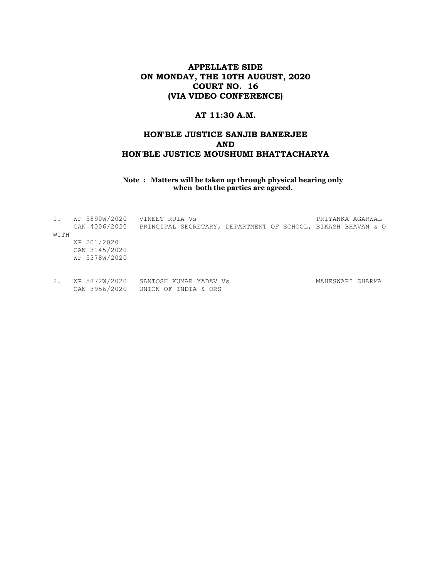# APPELLATE SIDE ON MONDAY, THE 10TH AUGUST, 2020 COURT NO. 16 (VIA VIDEO CONFERENCE)

## AT 11:30 A.M.

# HON'BLE JUSTICE SANJIB BANERJEE AND HON'BLE JUSTICE MOUSHUMI BHATTACHARYA

Note : Matters will be taken up through physical hearing only when both the parties are agreed.

| 1.   | WP 5890W/2020 | VINEET RUIA VS                                               |  | PRIYANKA AGARWAL |  |
|------|---------------|--------------------------------------------------------------|--|------------------|--|
|      | CAN 4006/2020 | PRINCIPAL SECRETARY, DEPARTMENT OF SCHOOL, BIKASH BHAVAN & O |  |                  |  |
| WITH |               |                                                              |  |                  |  |
|      | WP 201/2020   |                                                              |  |                  |  |
|      | CAN 3145/2020 |                                                              |  |                  |  |
|      | WP 5378W/2020 |                                                              |  |                  |  |
|      |               |                                                              |  |                  |  |
|      |               |                                                              |  |                  |  |
| 2.   | WP 5872W/2020 | SANTOSH KUMAR YADAV Vs                                       |  | MAHESWARI SHARMA |  |
|      | CAN 3956/2020 | UNION OF INDIA & ORS                                         |  |                  |  |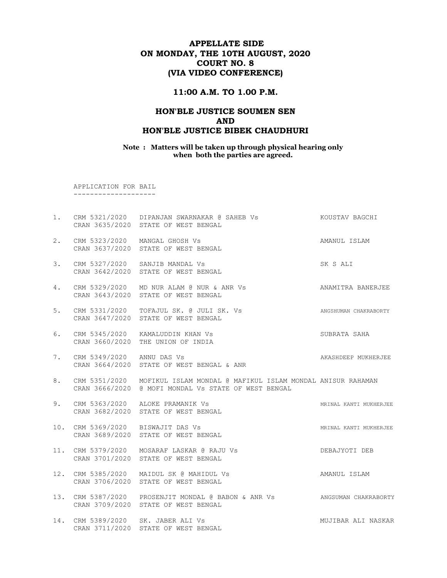# APPELLATE SIDE ON MONDAY, THE 10TH AUGUST, 2020 COURT NO. 8 (VIA VIDEO CONFERENCE)

#### 11:00 A.M. TO 1.00 P.M.

### HON'BLE JUSTICE SOUMEN SEN AND HON'BLE JUSTICE BIBEK CHAUDHURI

Note : Matters will be taken up through physical hearing only when both the parties are agreed.

 APPLICATION FOR BAIL --------------------

1. CRM 5321/2020 DIPANJAN SWARNAKAR @ SAHEB Vs KOUSTAV BAGCHI CRAN 3635/2020 STATE OF WEST BENGAL 2. CRM 5323/2020 MANGAL GHOSH Vs AMANUL ISLAM CRAN 3637/2020 STATE OF WEST BENGAL 3. CRM 5327/2020 SANJIB MANDAL Vs SK S ALI CRAN 3642/2020 STATE OF WEST BENGAL 4. CRM 5329/2020 MD NUR ALAM @ NUR & ANR Vs ANAMITRA BANERJEE CRAN 3643/2020 STATE OF WEST BENGAL 5. CRM 5331/2020 TOFAJUL SK. @ JULI SK. Vs ANGSHUMAN CHAKRABORTY CRAN 3647/2020 STATE OF WEST BENGAL 6. CRM 5345/2020 KAMALUDDIN KHAN Vs SUBRATA SAHA CRAN 3660/2020 THE UNION OF INDIA 7. CRM 5349/2020 ANNU DAS Vs **ANAGEMER** AKASHDEEP MUKHERJEE CRAN 3664/2020 STATE OF WEST BENGAL & ANR 8. CRM 5351/2020 MOFIKUL ISLAM MONDAL @ MAFIKUL ISLAM MONDAL ANISUR RAHAMAN CRAN 3666/2020 @ MOFI MONDAL Vs STATE OF WEST BENGAL 9. CRM 5363/2020 ALOKE PRAMANIK Vs **MRINAL KANTI MUKHERJEE**  CRAN 3682/2020 STATE OF WEST BENGAL 10. CRM 5369/2020 BISWAJIT DAS Vs **MRINAL KANTI MUKHERJEE**  CRAN 3689/2020 STATE OF WEST BENGAL 11. CRM 5379/2020 MOSARAF LASKAR @ RAJU Vs DEBAJYOTI DEB CRAN 3701/2020 STATE OF WEST BENGAL 12. CRM 5385/2020 MAIDUL SK @ MAHIDUL Vs AMANUL ISLAM CRAN 3706/2020 STATE OF WEST BENGAL 13. CRM 5387/2020 PROSENJIT MONDAL @ BABON & ANR Vs ANGSUMAN CHAKRABORTY CRAN 3709/2020 STATE OF WEST BENGAL 14. CRM 5389/2020 SK. JABER ALI Vs MUJIBAR ALI NASKAR CRAN 3711/2020 STATE OF WEST BENGAL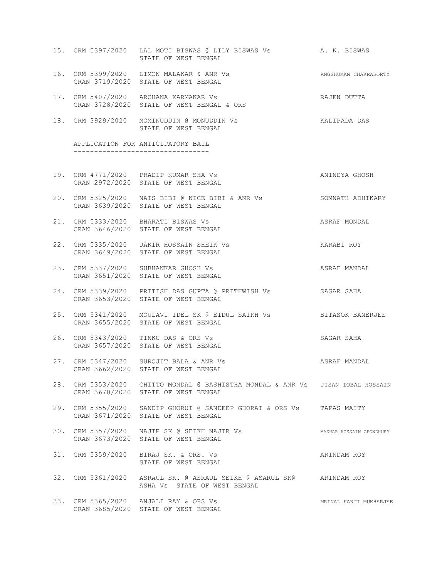- 15. CRM 5397/2020 LAL MOTI BISWAS @ LILY BISWAS Vs A. K. BISWAS STATE OF WEST BENGAL
- 16. CRM 5399/2020 LIMON MALAKAR & ANR Vs ANGSHUMAN CHAKRABORTY CRAN 3719/2020 STATE OF WEST BENGAL
- 17. CRM 5407/2020 ARCHANA KARMAKAR Vs **RAJEN DUTTA** CRAN 3728/2020 STATE OF WEST BENGAL & ORS
- 18. CRM 3929/2020 MOMINUDDIN @ MONUDDIN Vs KALIPADA DAS STATE OF WEST BENGAL

 APPLICATION FOR ANTICIPATORY BAIL ---------------------------------

- 19. CRM 4771/2020 PRADIP KUMAR SHA Vs ANINDYA GHOSH CRAN 2972/2020 STATE OF WEST BENGAL
- 20. CRM 5325/2020 NAIS BIBI @ NICE BIBI & ANR Vs SOMNATH ADHIKARY CRAN 3639/2020 STATE OF WEST BENGAL
- 21. CRM 5333/2020 BHARATI BISWAS Vs ASRAF MONDAL CRAN 3646/2020 STATE OF WEST BENGAL
- 22. CRM 5335/2020 JAKIR HOSSAIN SHEIK Vs KARABI ROY CRAN 3649/2020 STATE OF WEST BENGAL
- 23. CRM 5337/2020 SUBHANKAR GHOSH Vs ASRAF MANDAL CRAN 3651/2020 STATE OF WEST BENGAL
- 24. CRM 5339/2020 PRITISH DAS GUPTA @ PRITHWISH Vs SAGAR SAHA CRAN 3653/2020 STATE OF WEST BENGAL
- 25. CRM 5341/2020 MOULAVI IDEL SK @ EIDUL SAIKH Vs BITASOK BANERJEE CRAN 3655/2020 STATE OF WEST BENGAL
- 26. CRM 5343/2020 TINKU DAS & ORS Vs SAGAR SAHA CRAN 3657/2020 STATE OF WEST BENGAL
- 27. CRM 5347/2020 SUROJIT BALA & ANR Vs ASRAF MANDAL CRAN 3662/2020 STATE OF WEST BENGAL
- 28. CRM 5353/2020 CHITTO MONDAL @ BASHISTHA MONDAL & ANR Vs JISAN IQBAL HOSSAIN CRAN 3670/2020 STATE OF WEST BENGAL
- 29. CRM 5355/2020 SANDIP GHORUI @ SANDEEP GHORAI & ORS Vs TAPAS MAITY CRAN 3671/2020 STATE OF WEST BENGAL
- 30. CRM 5357/2020 NAJIR SK @ SEIKH NAJIR Vs MAZHAR HOSSAIN CHOWDHURY CRAN 3673/2020 STATE OF WEST BENGAL
- 31. CRM 5359/2020 BIRAJ SK. & ORS. Vs **ARINDAM ROY** STATE OF WEST BENGAL
- 32. CRM 5361/2020 ASRAUL SK. @ ASRAUL SEIKH @ ASARUL SK@ ARINDAM ROY ASHA Vs STATE OF WEST BENGAL
- 33. CRM 5365/2020 ANJALI RAY & ORS Vs MRINAL KANTI MUKHERJEE CRAN 3685/2020 STATE OF WEST BENGAL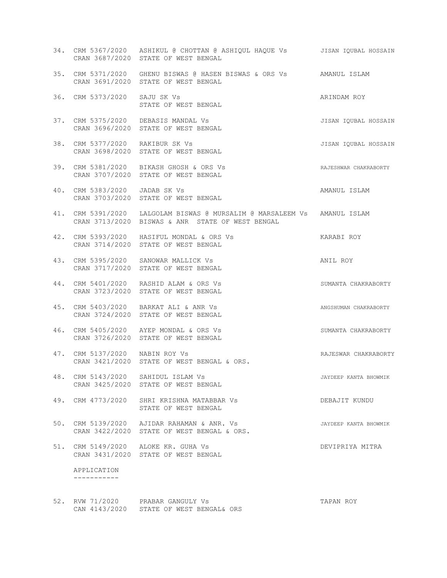|     |                                 | 34. CRM 5367/2020 ASHIKUL @ CHOTTAN @ ASHIQUL HAQUE Vs JISAN IQUBAL HOSSAIN<br>CRAN 3687/2020 STATE OF WEST BENGAL           |                       |
|-----|---------------------------------|------------------------------------------------------------------------------------------------------------------------------|-----------------------|
|     |                                 | 35. CRM 5371/2020 GHENU BISWAS @ HASEN BISWAS & ORS Vs AMANUL ISLAM<br>CRAN 3691/2020 STATE OF WEST BENGAL                   |                       |
|     | 36. CRM 5373/2020 SAJU SK Vs    | STATE OF WEST BENGAL                                                                                                         | ARINDAM ROY           |
| 37. |                                 | CRM 5375/2020 DEBASIS MANDAL Vs<br>CRAN 3696/2020 STATE OF WEST BENGAL                                                       | JISAN IQUBAL HOSSAIN  |
|     | 38. CRM 5377/2020 RAKIBUR SK Vs | CRAN 3698/2020 STATE OF WEST BENGAL                                                                                          | JISAN IQUBAL HOSSAIN  |
|     |                                 | 39. CRM 5381/2020 BIKASH GHOSH & ORS Vs<br>RAJESHWAR CHAKRABORTY<br>CRAN 3707/2020 STATE OF WEST BENGAL                      |                       |
|     | 40. CRM 5383/2020 JADAB SK Vs   | CRAN 3703/2020 STATE OF WEST BENGAL                                                                                          | AMANUL ISLAM          |
|     |                                 | 41. CRM 5391/2020 LALGOLAM BISWAS @ MURSALIM @ MARSALEEM Vs AMANUL ISLAM<br>CRAN 3713/2020 BISWAS & ANR STATE OF WEST BENGAL |                       |
|     |                                 | 42. CRM 5393/2020 HASIFUL MONDAL & ORS Vs<br>CRAN 3714/2020 STATE OF WEST BENGAL                                             | KARABI ROY            |
|     |                                 | 43. CRM 5395/2020 SANOWAR MALLICK Vs<br>CRAN 3717/2020 STATE OF WEST BENGAL                                                  | ANIL ROY              |
|     |                                 | 44. CRM 5401/2020 RASHID ALAM & ORS Vs<br>CRAN 3723/2020 STATE OF WEST BENGAL                                                | SUMANTA CHAKRABORTY   |
| 45. |                                 | CRM 5403/2020 BARKAT ALI & ANR Vs<br>CRAN 3724/2020 STATE OF WEST BENGAL                                                     | ANGSHUMAN CHAKRABORTY |
|     |                                 | 46. CRM 5405/2020 AYEP MONDAL & ORS Vs<br>CRAN 3726/2020 STATE OF WEST BENGAL                                                | SUMANTA CHAKRABORTY   |
|     | 47. CRM 5137/2020 NABIN ROY Vs  | CRAN 3421/2020 STATE OF WEST BENGAL & ORS.                                                                                   | RAJESWAR CHAKRABORTY  |
|     |                                 | 48. CRM 5143/2020 SAHIDUL ISLAM Vs<br>CRAN 3425/2020 STATE OF WEST BENGAL                                                    | JAYDEEP KANTA BHOWMIK |
| 49. |                                 | CRM 4773/2020 SHRI KRISHNA MATABBAR Vs<br>STATE OF WEST BENGAL                                                               | DEBAJIT KUNDU         |
| 50. |                                 | CRM 5139/2020 AJIDAR RAHAMAN & ANR. Vs<br>CRAN 3422/2020 STATE OF WEST BENGAL & ORS.                                         | JAYDEEP KANTA BHOWMIK |
|     |                                 | 51. CRM 5149/2020 ALOKE KR. GUHA Vs<br>CRAN 3431/2020 STATE OF WEST BENGAL                                                   | DEVIPRIYA MITRA       |
|     | APPLICATION<br>-----------      |                                                                                                                              |                       |
|     |                                 |                                                                                                                              |                       |

52. RVW 71/2020 PRABAR GANGULY Vs TAPAN ROY CAN 4143/2020 STATE OF WEST BENGAL& ORS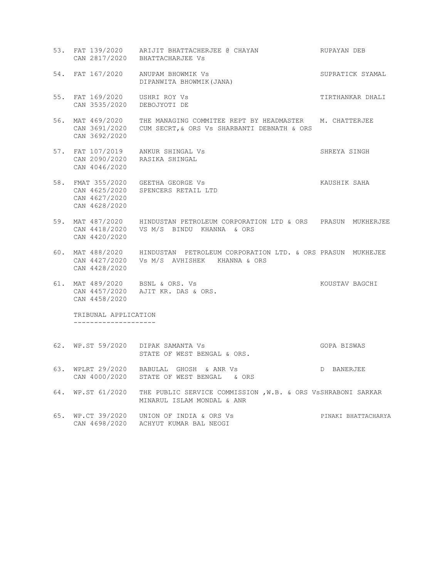- 53. FAT 139/2020 ARIJIT BHATTACHERJEE @ CHAYAN RUPAYAN DEB CAN 2817/2020 BHATTACHARJEE Vs 54. FAT 167/2020 ANUPAM BHOWMIK Vs SUPRATICK SYAMAL DIPANWITA BHOWMIK(JANA) 55. FAT 169/2020 USHRI ROY Vs **TIRTHANKAR DHALI**  CAN 3535/2020 DEBOJYOTI DE 56. MAT 469/2020 THE MANAGING COMMITEE REPT BY HEADMASTER M. CHATTERJEE CAN 3691/2020 CUM SECRT,& ORS Vs SHARBANTI DEBNATH & ORS CAN 3692/2020 57. FAT 107/2019 ANKUR SHINGAL Vs SHREYA SINGH CAN 2090/2020 RASIKA SHINGAL CAN 4046/2020 58. FMAT 355/2020 GEETHA GEORGE Vs **KAUSHIK SAHA**  CAN 4625/2020 SPENCERS RETAIL LTD CAN 4627/2020 CAN 4628/2020
- 59. MAT 487/2020 HINDUSTAN PETROLEUM CORPORATION LTD & ORS PRASUN MUKHERJEE CAN 4418/2020 VS M/S BINDU KHANNA & ORS CAN 4420/2020
- 60. MAT 488/2020 HINDUSTAN PETROLEUM CORPORATION LTD. & ORS PRASUN MUKHEJEE CAN 4427/2020 Vs M/S AVHISHEK KHANNA & ORS CAN 4428/2020
- 61. MAT 489/2020 BSNL & ORS. Vs KOUSTAV BAGCHI CAN 4457/2020 AJIT KR. DAS & ORS. CAN 4458/2020

 TRIBUNAL APPLICATION --------------------

- 62. WP.ST 59/2020 DIPAK SAMANTA Vs GOPA BISWAS STATE OF WEST BENGAL & ORS.
- 63. WPLRT 29/2020 BABULAL GHOSH & ANR Vs D BANERJEE CAN 4000/2020 STATE OF WEST BENGAL & ORS
- 64. WP.ST 61/2020 THE PUBLIC SERVICE COMMISSION ,W.B. & ORS VsSHRABONI SARKAR MINARUL ISLAM MONDAL & ANR
- 65. WP.CT 39/2020 UNION OF INDIA & ORS Vs PINAKI BHATTACHARYA CAN 4698/2020 ACHYUT KUMAR BAL NEOGI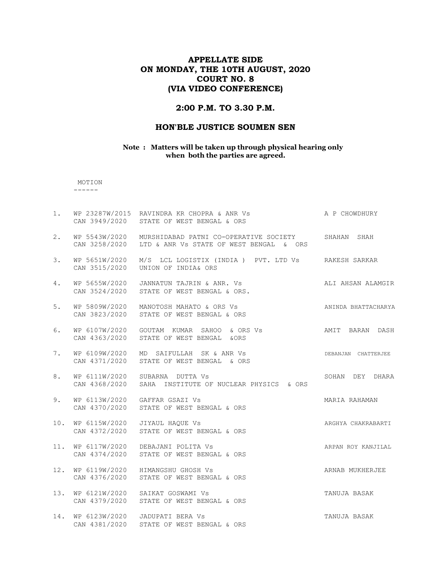# APPELLATE SIDE ON MONDAY, THE 10TH AUGUST, 2020 COURT NO. 8 (VIA VIDEO CONFERENCE)

### 2:00 P.M. TO 3.30 P.M.

### HON'BLE JUSTICE SOUMEN SEN

#### Note : Matters will be taken up through physical hearing only when both the parties are agreed.

 MOTION ------

| $1$ . |                                | WP 23287W/2015 RAVINDRA KR CHOPRA & ANR Vs A P CHOWDHURY<br>CAN 3949/2020 STATE OF WEST BENGAL & ORS        |                     |
|-------|--------------------------------|-------------------------------------------------------------------------------------------------------------|---------------------|
| 2.    | WP 5543W/2020                  | MURSHIDABAD PATNI CO-OPERATIVE SOCIETY SHAHAN SHAH<br>CAN 3258/2020 LTD & ANR Vs STATE OF WEST BENGAL & ORS |                     |
| 3.    | WP 5651W/2020<br>CAN 3515/2020 | M/S LCL LOGISTIX (INDIA) PVT. LTD Vs RAKESH SARKAR<br>UNION OF INDIA& ORS                                   |                     |
| 4.    |                                | WP 5655W/2020 JANNATUN TAJRIN & ANR. Vs<br>CAN 3524/2020 STATE OF WEST BENGAL & ORS.                        | ALI AHSAN ALAMGIR   |
| 5.    |                                | WP 5809W/2020 MANOTOSH MAHATO & ORS Vs<br>CAN 3823/2020 STATE OF WEST BENGAL & ORS                          | ANINDA BHATTACHARYA |
| 6.    |                                | WP 6107W/2020 GOUTAM KUMAR SAHOO & ORS Vs AMIT BARAN DASH<br>CAN 4363/2020 STATE OF WEST BENGAL & ORS       |                     |
| 7.    |                                | WP 6109W/2020 MD SAIFULLAH SK & ANR Vs<br>CAN 4371/2020 STATE OF WEST BENGAL & ORS                          | DEBANJAN CHATTERJEE |
| 8.    |                                | WP 6111W/2020 SUBARNA DUTTA Vs<br>CAN 4368/2020 SAHA INSTITUTE OF NUCLEAR PHYSICS & ORS                     | SOHAN DEY DHARA     |
| 9.    |                                | WP 6113W/2020 GAFFAR GSAZI Vs<br>CAN 4370/2020 STATE OF WEST BENGAL & ORS                                   | MARIA RAHAMAN       |
| 10.   | WP 6115W/2020 JIYAUL HAQUE Vs  | CAN 4372/2020 STATE OF WEST BENGAL & ORS                                                                    | ARGHYA CHAKRABARTI  |
| 11.   |                                | WP 6117W/2020 DEBAJANI POLITA Vs<br>CAN 4374/2020 STATE OF WEST BENGAL & ORS                                | ARPAN ROY KANJILAL  |
|       |                                | 12. WP 6119W/2020 HIMANGSHU GHOSH Vs<br>CAN 4376/2020 STATE OF WEST BENGAL & ORS                            | ARNAB MUKHERJEE     |
| 13.   |                                | WP 6121W/2020 SAIKAT GOSWAMI Vs<br>CAN 4379/2020 STATE OF WEST BENGAL & ORS                                 | TANUJA BASAK        |
| 14.   | CAN 4381/2020                  | WP 6123W/2020 JADUPATI BERA Vs<br>STATE OF WEST BENGAL & ORS                                                | TANUJA BASAK        |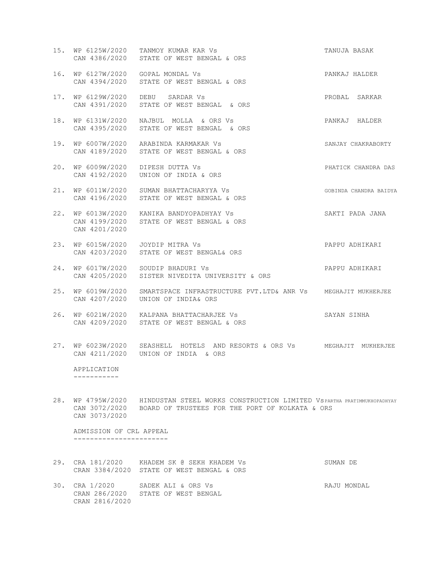- 15. WP 6125W/2020 TANMOY KUMAR KAR Vs TANUJA BASAK CAN 4386/2020 STATE OF WEST BENGAL & ORS 16. WP 6127W/2020 GOPAL MONDAL Vs PANKAJ HALDER
- CAN 4394/2020 STATE OF WEST BENGAL & ORS
- 17. WP 6129W/2020 DEBU SARDAR Vs PROBAL SARKAR CAN 4391/2020 STATE OF WEST BENGAL & ORS
- 18. WP 6131W/2020 NAJBUL MOLLA & ORS Vs PANKAJ HALDER CAN 4395/2020 STATE OF WEST BENGAL & ORS
- 19. WP 6007W/2020 ARABINDA KARMAKAR Vs SANJAY CHAKRABORTY CAN 4189/2020 STATE OF WEST BENGAL & ORS
- 20. WP 6009W/2020 DIPESH DUTTA Vs PHATICK CHANDRA DAS CAN 4192/2020 UNION OF INDIA & ORS
- 21. WP 6011W/2020 SUMAN BHATTACHARYYA Vs GOBINDA CHANDRA BAIDYA CAN 4196/2020 STATE OF WEST BENGAL & ORS
- 22. WP 6013W/2020 KANIKA BANDYOPADHYAY Vs SAKTI PADA JANA CAN 4199/2020 STATE OF WEST BENGAL & ORS CAN 4201/2020
- 23. WP 6015W/2020 JOYDIP MITRA Vs PAPPU ADHIKARI CAN 4203/2020 STATE OF WEST BENGAL& ORS
- 24. WP 6017W/2020 SOUDIP BHADURI Vs PAPPU ADHIKARI CAN 4205/2020 SISTER NIVEDITA UNIVERSITY & ORS
- 25. WP 6019W/2020 SMARTSPACE INFRASTRUCTURE PVT.LTD& ANR Vs MEGHAJIT MUKHERJEE CAN 4207/2020 UNION OF INDIA& ORS
- 26. WP 6021W/2020 KALPANA BHATTACHARJEE Vs SAYAN SINHA CAN 4209/2020 STATE OF WEST BENGAL & ORS
- 27. WP 6023W/2020 SEASHELL HOTELS AND RESORTS & ORS Vs MEGHAJIT MUKHERJEE CAN 4211/2020 UNION OF INDIA & ORS

 APPLICATION -----------

28. WP 4795W/2020 HINDUSTAN STEEL WORKS CONSTRUCTION LIMITED VsPARTHA PRATIMMUKHOPADHYAY CAN 3072/2020 BOARD OF TRUSTEES FOR THE PORT OF KOLKATA & ORS CAN 3073/2020

 ADMISSION OF CRL APPEAL -----------------------

- 29. CRA 181/2020 KHADEM SK @ SEKH KHADEM Vs SUMAN DE CRAN 3384/2020 STATE OF WEST BENGAL & ORS
- 30. CRA 1/2020 SADEK ALI & ORS Vs RAJU MONDAL CRAN 286/2020 STATE OF WEST BENGAL CRAN 2816/2020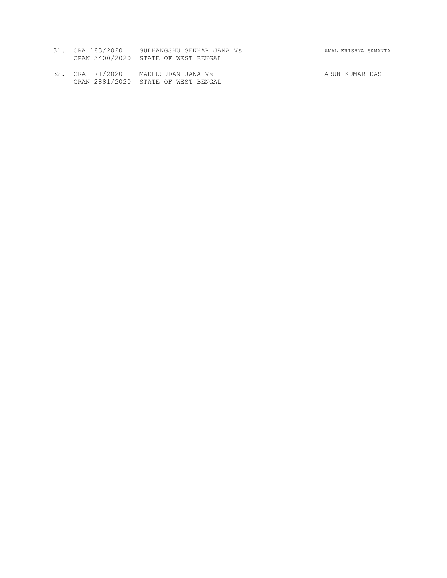| 31. CRA 183/2020                    | SUDHANGSHU SEKHAR JANA Vs |  |
|-------------------------------------|---------------------------|--|
| CRAN 3400/2020 STATE OF WEST BENGAL |                           |  |

32. CRA 171/2020 MADHUSUDAN JANA Vs ARUN KUMAR DAS CRAN 2881/2020 STATE OF WEST BENGAL

31. CRA 183/2020 SUDHANGSHU SEKHAR JANA Vs AMAL KRISHNA SAMANTA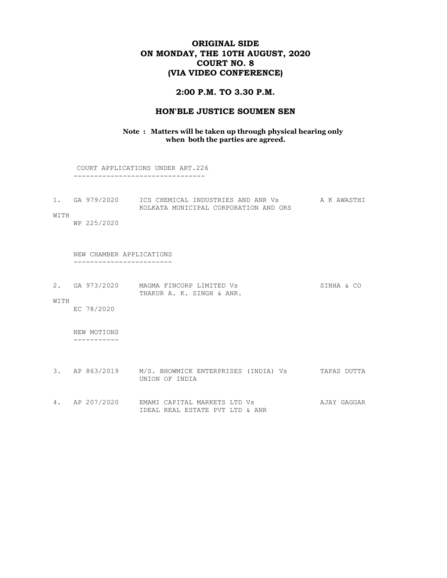# ORIGINAL SIDE ON MONDAY, THE 10TH AUGUST, 2020 COURT NO. 8 (VIA VIDEO CONFERENCE)

#### 2:00 P.M. TO 3.30 P.M.

#### HON'BLE JUSTICE SOUMEN SEN

#### Note : Matters will be taken up through physical hearing only when both the parties are agreed.

 COURT APPLICATIONS UNDER ART.226 --------------------------------

| GA 979/2020 | ICS CHEMICAL INDUSTRIES AND ANR Vs    | A K AWASTHI |
|-------------|---------------------------------------|-------------|
|             | KOLKATA MUNICIPAL CORPORATION AND ORS |             |

WITH

WP 225/2020

 NEW CHAMBER APPLICATIONS ------------------------

| 2. GA 973/2020 | MAGMA FINCORP LIMITED Vs  | SINHA & CO |  |
|----------------|---------------------------|------------|--|
|                | THAKUR A. K. SINGH & ANR. |            |  |

WITH

EC 78/2020

 NEW MOTIONS -----------

- 3. AP 863/2019 M/S. BHOWMICK ENTERPRISES (INDIA) Vs TAPAS DUTTA UNION OF INDIA
- 4. AP 207/2020 EMAMI CAPITAL MARKETS LTD Vs **AJAY GAGGAR** IDEAL REAL ESTATE PVT LTD & ANR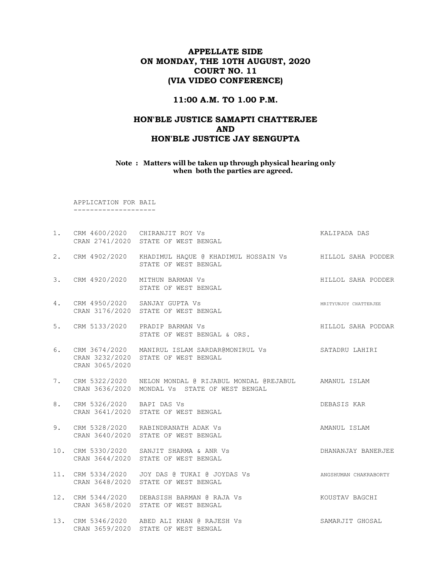# APPELLATE SIDE ON MONDAY, THE 10TH AUGUST, 2020 COURT NO. 11 (VIA VIDEO CONFERENCE)

### 11:00 A.M. TO 1.00 P.M.

# HON'BLE JUSTICE SAMAPTI CHATTERJEE AND HON'BLE JUSTICE JAY SENGUPTA

#### Note : Matters will be taken up through physical hearing only when both the parties are agreed.

 APPLICATION FOR BAIL --------------------

|    |                           | 1. CRM 4600/2020 CHIRANJIT ROY Vs<br>CRAN 2741/2020 STATE OF WEST BENGAL                                   | KALIPADA DAS          |
|----|---------------------------|------------------------------------------------------------------------------------------------------------|-----------------------|
|    |                           | 2. CRM 4902/2020 KHADIMUL HAQUE @ KHADIMUL HOSSAIN Vs FILLLOL SAHA PODDER<br>STATE OF WEST BENGAL          |                       |
|    |                           | 3. CRM 4920/2020 MITHUN BARMAN Vs<br>STATE OF WEST BENGAL                                                  | HILLOL SAHA PODDER    |
| 4. |                           | CRM 4950/2020 SANJAY GUPTA Vs<br>CRAN 3176/2020 STATE OF WEST BENGAL                                       | MRITYUNJOY CHATTERJEE |
| 5. |                           | CRM 5133/2020 PRADIP BARMAN Vs<br>STATE OF WEST BENGAL & ORS.                                              | HILLOL SAHA PODDAR    |
| 6. | CRAN 3065/2020            | CRM 3674/2020 MANIRUL ISLAM SARDAR@MONIRUL Vs SATADRU LAHIRI<br>CRAN 3232/2020 STATE OF WEST BENGAL        |                       |
| 7. |                           | CRAN 3636/2020 MONDAL Vs STATE OF WEST BENGAL                                                              |                       |
| 8. | CRM 5326/2020 BAPI DAS Vs | CRAN 3641/2020 STATE OF WEST BENGAL                                                                        | DEBASIS KAR           |
| 9. |                           | CRM 5328/2020 RABINDRANATH ADAK Vs<br>CRAN 3640/2020 STATE OF WEST BENGAL                                  | AMANUL ISLAM          |
|    |                           | 10. CRM 5330/2020 SANJIT SHARMA & ANR Vs<br>CRAN 3644/2020 STATE OF WEST BENGAL                            | DHANANJAY BANERJEE    |
|    |                           | 11. CRM 5334/2020 JOY DAS @ TUKAI @ JOYDAS Vs ANGSHUMAN CHAKRABORTY<br>CRAN 3648/2020 STATE OF WEST BENGAL |                       |
|    |                           | 12. CRM 5344/2020 DEBASISH BARMAN @ RAJA Vs XOUSTAV BAGCHI<br>CRAN 3658/2020 STATE OF WEST BENGAL          |                       |
|    |                           | 13. CRM 5346/2020 ABED ALI KHAN @ RAJESH Vs<br>CRAN 3659/2020 STATE OF WEST BENGAL                         | SAMARJIT GHOSAL       |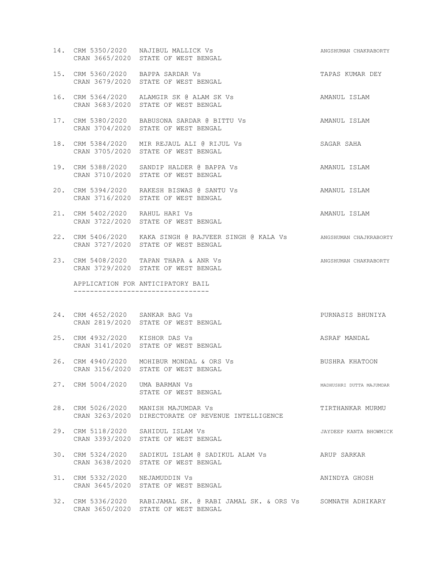- 14. CRM 5350/2020 NAJIBUL MALLICK Vs **ANGSHUMAN CHAKRABORTY** CRAN 3665/2020 STATE OF WEST BENGAL
- 15. CRM 5360/2020 BAPPA SARDAR Vs TAPAS KUMAR DEY CRAN 3679/2020 STATE OF WEST BENGAL
- 16. CRM 5364/2020 ALAMGIR SK @ ALAM SK Vs AMANUL ISLAM CRAN 3683/2020 STATE OF WEST BENGAL
- 17. CRM 5380/2020 BABUSONA SARDAR @ BITTU Vs AMANUL ISLAM CRAN 3704/2020 STATE OF WEST BENGAL
- 18. CRM 5384/2020 MIR REJAUL ALI @ RIJUL Vs SAGAR SAHA CRAN 3705/2020 STATE OF WEST BENGAL
- 19. CRM 5388/2020 SANDIP HALDER @ BAPPA Vs AMANUL ISLAM CRAN 3710/2020 STATE OF WEST BENGAL
- 20. CRM 5394/2020 RAKESH BISWAS @ SANTU Vs AMANUL ISLAM CRAN 3716/2020 STATE OF WEST BENGAL
- 21. CRM 5402/2020 RAHUL HARI Vs AMANUL ISLAM CRAN 3722/2020 STATE OF WEST BENGAL
- 22. CRM 5406/2020 KAKA SINGH @ RAJVEER SINGH @ KALA Vs ANGSHUMAN CHAJKRABORTY CRAN 3727/2020 STATE OF WEST BENGAL
- 23. CRM 5408/2020 TAPAN THAPA & ANR Vs ANGELIAN CHAKRABORTY CRAN 3729/2020 STATE OF WEST BENGAL

 APPLICATION FOR ANTICIPATORY BAIL ---------------------------------

- 24. CRM 4652/2020 SANKAR BAG Vs PURNASIS BHUNIYA CRAN 2819/2020 STATE OF WEST BENGAL
- 25. CRM 4932/2020 KISHOR DAS Vs ASRAF MANDAL CRAN 3141/2020 STATE OF WEST BENGAL
- 26. CRM 4940/2020 MOHIBUR MONDAL & ORS Vs BUSHRA KHATOON CRAN 3156/2020 STATE OF WEST BENGAL
- 27. CRM 5004/2020 UMA BARMAN Vs **MADHUSHRI DUTTA MAJUMDAR** STATE OF WEST BENGAL
- 28. CRM 5026/2020 MANISH MAJUMDAR Vs TIRTHANKAR MURMU CRAN 3263/2020 DIRECTORATE OF REVENUE INTELLIGENCE
- 29. CRM 5118/2020 SAHIDUL ISLAM Vs JAYDEEP KANTA BHOWMICK CRAN 3393/2020 STATE OF WEST BENGAL
- 30. CRM 5324/2020 SADIKUL ISLAM @ SADIKUL ALAM Vs ARUP SARKAR CRAN 3638/2020 STATE OF WEST BENGAL
- 31. CRM 5332/2020 NEJAMUDDIN Vs ANINDYA GHOSH CRAN 3645/2020 STATE OF WEST BENGAL
- 32. CRM 5336/2020 RABIJAMAL SK. @ RABI JAMAL SK. & ORS Vs SOMNATH ADHIKARY CRAN 3650/2020 STATE OF WEST BENGAL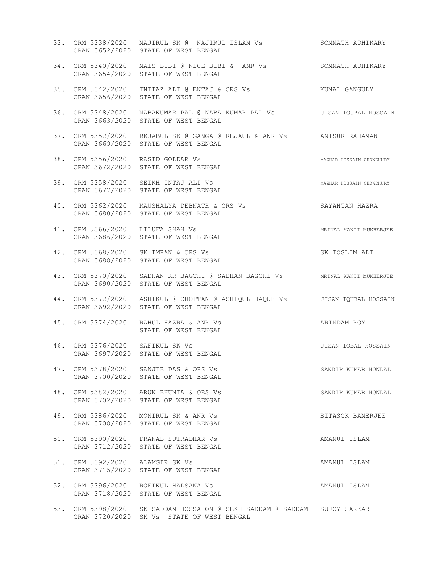|     |                                  | 33. CRM 5338/2020 NAJIRUL SK @ NAJIRUL ISLAM Vs SOMNATH ADHIKARY<br>CRAN 3652/2020 STATE OF WEST BENGAL             |                          |
|-----|----------------------------------|---------------------------------------------------------------------------------------------------------------------|--------------------------|
|     |                                  | 34. CRM 5340/2020 NAIS BIBI @ NICE BIBI & ANR Vs SOMNATH ADHIKARY<br>CRAN 3654/2020 STATE OF WEST BENGAL            |                          |
|     |                                  | 35. CRM 5342/2020 INTIAZ ALI @ ENTAJ & ORS Vs               KUNAL GANGULY<br>CRAN 3656/2020 STATE OF WEST BENGAL    |                          |
|     |                                  | 36. CRM 5348/2020 NABAKUMAR PAL @ NABA KUMAR PAL Vs JISAN IQUBAL HOSSAIN<br>CRAN 3663/2020 STATE OF WEST BENGAL     |                          |
|     |                                  | 37. CRM 5352/2020 REJABUL SK @ GANGA @ REJAUL & ANR Vs ANISUR RAHAMAN<br>CRAN 3669/2020 STATE OF WEST BENGAL        |                          |
|     |                                  | MAZHAR HOSSAIN CHOWDHURY<br>38. CRM 5356/2020 RASID GOLDAR Vs<br>CRAN 3672/2020 STATE OF WEST BENGAL                |                          |
|     |                                  | 39. CRM 5358/2020 SEIKH INTAJ ALI Vs<br>CRAN 3677/2020 STATE OF WEST BENGAL                                         | MAZHAR HOSSAIN CHOWDHURY |
|     |                                  | 40. CRM 5362/2020 KAUSHALYA DEBNATH & ORS Vs<br>CRAN 3680/2020 STATE OF WEST BENGAL                                 | SAYANTAN HAZRA           |
|     | 41. CRM 5366/2020 LILUFA SHAH Vs | CRAN 3686/2020 STATE OF WEST BENGAL                                                                                 | MRINAL KANTI MUKHERJEE   |
|     |                                  | 42. CRM 5368/2020 SK IMRAN & ORS Vs<br>CRAN 3688/2020 STATE OF WEST BENGAL                                          | SK TOSLIM ALI            |
|     |                                  | 43. CRM 5370/2020 SADHAN KR BAGCHI @ SADHAN BAGCHI VS MRINAL KANTI MUKHERJEE<br>CRAN 3690/2020 STATE OF WEST BENGAL |                          |
|     |                                  | 44. CRM 5372/2020 ASHIKUL @ CHOTTAN @ ASHIQUL HAQUE Vs JISAN IQUBAL HOSSAIN<br>CRAN 3692/2020 STATE OF WEST BENGAL  |                          |
|     |                                  | 45. CRM 5374/2020 RAHUL HAZRA & ANR Vs<br>STATE OF WEST BENGAL                                                      | ARINDAM ROY              |
|     | 46. CRM 5376/2020 SAFIKUL SK Vs  | CRAN 3697/2020 STATE OF WEST BENGAL                                                                                 | JISAN IOBAL HOSSAIN      |
| 47. |                                  | CRM 5378/2020 SANJIB DAS & ORS Vs<br>CRAN 3700/2020 STATE OF WEST BENGAL                                            | SANDIP KUMAR MONDAL      |
| 48. |                                  | CRM 5382/2020 ARUN BHUNIA & ORS Vs<br>CRAN 3702/2020 STATE OF WEST BENGAL                                           | SANDIP KUMAR MONDAL      |
| 49. |                                  | CRM 5386/2020 MONIRUL SK & ANR Vs<br>CRAN 3708/2020 STATE OF WEST BENGAL                                            | BITASOK BANERJEE         |
| 50. |                                  | CRM 5390/2020 PRANAB SUTRADHAR Vs<br>CRAN 3712/2020 STATE OF WEST BENGAL                                            | AMANUL ISLAM             |
| 51. | CRM 5392/2020 ALAMGIR SK Vs      | CRAN 3715/2020 STATE OF WEST BENGAL                                                                                 | AMANUL ISLAM             |
|     |                                  | 52. CRM 5396/2020 ROFIKUL HALSANA Vs<br>CRAN 3718/2020 STATE OF WEST BENGAL                                         | AMANUL ISLAM             |
| 53. |                                  | CRM 5398/2020 SK SADDAM HOSSAION @ SEKH SADDAM @ SADDAM SUJOY SARKAR<br>CRAN 3720/2020 SK Vs STATE OF WEST BENGAL   |                          |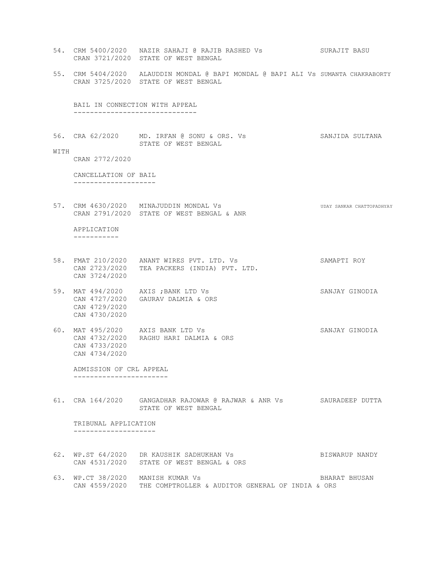54. CRM 5400/2020 NAZIR SAHAJI @ RAJIB RASHED Vs SURAJIT BASU CRAN 3721/2020 STATE OF WEST BENGAL 55. CRM 5404/2020 ALAUDDIN MONDAL @ BAPI MONDAL @ BAPI ALI Vs SUMANTA CHAKRABORTY CRAN 3725/2020 STATE OF WEST BENGAL BAIL IN CONNECTION WITH APPEAL ------------------------------ 56. CRA 62/2020 MD. IRFAN @ SONU & ORS. Vs SANJIDA SULTANA STATE OF WEST BENGAL WITH CRAN 2772/2020 CANCELLATION OF BAIL -------------------- 57. CRM 4630/2020 MINAJUDDIN MONDAL Vs **WEDAL WAS CONSTRUCTED AN ADDET** ORN SANKAR CHATTOPADHYAY CRAN 2791/2020 STATE OF WEST BENGAL & ANR APPLICATION ----------- 58. FMAT 210/2020 ANANT WIRES PVT. LTD. Vs SAMAPTI ROY CAN 2723/2020 TEA PACKERS (INDIA) PVT. LTD. CAN 3724/2020 59. MAT 494/2020 AXIS ; BANK LTD Vs SANJAY GINODIA CAN 4727/2020 GAURAV DALMIA & ORS CAN 4729/2020 CAN 4730/2020 60. MAT 495/2020 AXIS BANK LTD Vs SANJAY GINODIA CAN 4732/2020 RAGHU HARI DALMIA & ORS CAN 4733/2020 CAN 4734/2020

 ADMISSION OF CRL APPEAL -----------------------

61. CRA 164/2020 GANGADHAR RAJOWAR @ RAJWAR & ANR Vs SAURADEEP DUTTA STATE OF WEST BENGAL

 TRIBUNAL APPLICATION --------------------

- 62. WP.ST 64/2020 DR KAUSHIK SADHUKHAN Vs BISWARUP NANDY CAN 4531/2020 STATE OF WEST BENGAL & ORS
- 63. WP.CT 38/2020 MANISH KUMAR Vs BHARAT BHUSAN CAN 4559/2020 THE COMPTROLLER & AUDITOR GENERAL OF INDIA & ORS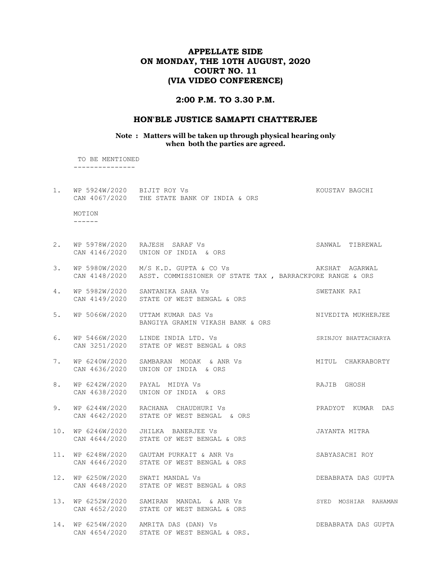## APPELLATE SIDE ON MONDAY, THE 10TH AUGUST, 2020 COURT NO. 11 (VIA VIDEO CONFERENCE)

#### 2:00 P.M. TO 3.30 P.M.

#### HON'BLE JUSTICE SAMAPTI CHATTERJEE

Note : Matters will be taken up through physical hearing only when both the parties are agreed.

 TO BE MENTIONED ---------------

1. WP 5924W/2020 BIJIT ROY Vs **KOUSTAV BAGCHI**  CAN 4067/2020 THE STATE BANK OF INDIA & ORS MOTION ------ 2. WP 5978W/2020 RAJESH SARAF Vs SANWAL TIBREWAL CAN 4146/2020 UNION OF INDIA & ORS 3. WP 5980W/2020 M/S K.D. GUPTA & CO Vs AKSHAT AGARWAL CAN 4148/2020 ASST. COMMISSIONER OF STATE TAX , BARRACKPORE RANGE & ORS 4. WP 5982W/2020 SANTANIKA SAHA Vs SWETANK RAI CAN 4149/2020 STATE OF WEST BENGAL & ORS 5. WP 5066W/2020 UTTAM KUMAR DAS Vs NIMEDITA MUKHERJEE BANGIYA GRAMIN VIKASH BANK & ORS 6. WP 5466W/2020 LINDE INDIA LTD. Vs SRINJOY BHATTACHARYA CAN 3251/2020 STATE OF WEST BENGAL & ORS 7. WP 6240W/2020 SAMBARAN MODAK & ANR Vs MITUL CHAKRABORTY CAN 4636/2020 UNION OF INDIA & ORS 8. WP 6242W/2020 PAYAL MIDYA Vs **RAJIB GHOSH**  CAN 4638/2020 UNION OF INDIA & ORS 9. WP 6244W/2020 RACHANA CHAUDHURI Vs PRADYOT KUMAR DAS CAN 4642/2020 STATE OF WEST BENGAL & ORS 10. WP 6246W/2020 JHILKA BANERJEE Vs JAYANTA MITRA CAN 4644/2020 STATE OF WEST BENGAL & ORS 11. WP 6248W/2020 GAUTAM PURKAIT & ANR Vs SABYASACHI ROY CAN 4646/2020 STATE OF WEST BENGAL & ORS 12. WP 6250W/2020 SWATI MANDAL Vs DEBABRATA DAS GUPTA CAN 4648/2020 STATE OF WEST BENGAL & ORS 13. WP 6252W/2020 SAMIRAN MANDAL & ANR Vs SYED MOSHIAR RAHAMAN CAN 4652/2020 STATE OF WEST BENGAL & ORS 14. WP 6254W/2020 AMRITA DAS (DAN) Vs DEBABRATA DAS GUPTA CAN 4654/2020 STATE OF WEST BENGAL & ORS.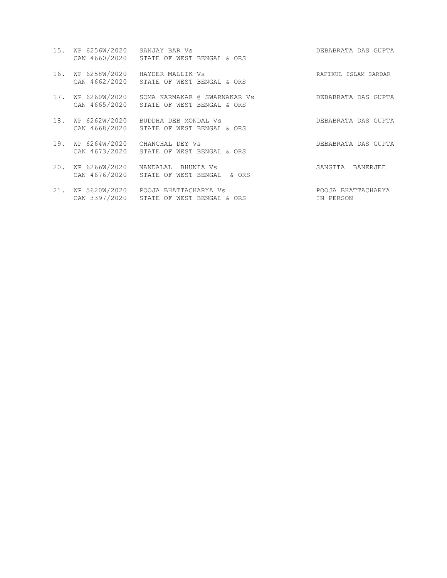|     | 15. WP 6256W/2020 SANJAY BAR Vs | CAN 4660/2020 STATE OF WEST BENGAL & ORS                                               | DEBABRATA DAS GUPTA             |
|-----|---------------------------------|----------------------------------------------------------------------------------------|---------------------------------|
| 16. |                                 | WP 6258W/2020 HAYDER MALLIK Vs<br>CAN 4662/2020 STATE OF WEST BENGAL & ORS             | RAFIKUL ISLAM SARDAR            |
| 17. |                                 | WP 6260W/2020 SOMA KARMAKAR @ SWARNAKAR Vs<br>CAN 4665/2020 STATE OF WEST BENGAL & ORS | DEBABRATA DAS GUPTA             |
| 18. |                                 | WP 6262W/2020 BUDDHA DEB MONDAL Vs<br>CAN 4668/2020 STATE OF WEST BENGAL & ORS         | DEBABRATA DAS GUPTA             |
| 19. |                                 | WP 6264W/2020 CHANCHAL DEY Vs<br>CAN 4673/2020 STATE OF WEST BENGAL & ORS              | DEBABRATA DAS GUPTA             |
| 20. |                                 | WP 6266W/2020  NANDALAL BHUNIA Vs<br>CAN 4676/2020 STATE OF WEST BENGAL & ORS          | SANGITA BANERJEE                |
| 21. |                                 | WP 5620W/2020 POOJA BHATTACHARYA Vs<br>CAN 3397/2020 STATE OF WEST BENGAL & ORS        | POOJA BHATTACHARYA<br>IN PERSON |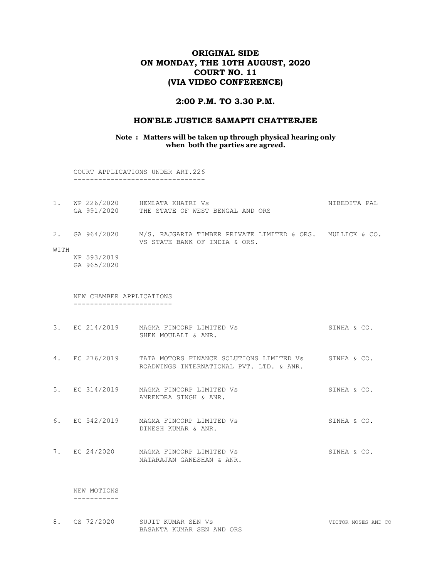# ORIGINAL SIDE ON MONDAY, THE 10TH AUGUST, 2020 COURT NO. 11 (VIA VIDEO CONFERENCE)

### 2:00 P.M. TO 3.30 P.M.

#### HON'BLE JUSTICE SAMAPTI CHATTERJEE

Note : Matters will be taken up through physical hearing only when both the parties are agreed.

 COURT APPLICATIONS UNDER ART.226 --------------------------------

|  | WP 226/2020 | HEMLATA KHATRI VS                | NIREDITA PAI |
|--|-------------|----------------------------------|--------------|
|  | GA 991/2020 | THE STATE OF WEST BENGAL AND ORS |              |

- 2. GA 964/2020 M/S. RAJGARIA TIMBER PRIVATE LIMITED & ORS. MULLICK & CO. VS STATE BANK OF INDIA & ORS. WITH
	- WP 593/2019 GA 965/2020

 NEW CHAMBER APPLICATIONS ------------------------

- 3. EC 214/2019 MAGMA FINCORP LIMITED Vs SINHA & CO. SHEK MOULALI & ANR.
- 4. EC 276/2019 TATA MOTORS FINANCE SOLUTIONS LIMITED Vs SINHA & CO. ROADWINGS INTERNATIONAL PVT. LTD. & ANR.
- 5. EC 314/2019 MAGMA FINCORP LIMITED Vs SINHA & CO. AMRENDRA SINGH & ANR.
- 6. EC 542/2019 MAGMA FINCORP LIMITED Vs SINHA & CO. DINESH KUMAR & ANR.
- 7. EC 24/2020 MAGMA FINCORP LIMITED Vs SINHA & CO. NATARAJAN GANESHAN & ANR.

 NEW MOTIONS -----------

8. CS 72/2020 SUJIT KUMAR SEN Vs Subset of the CONSTRUCT STATE STATE STATE STATE STATE STATE STATE STATE STATE STATE STATE STATE STATE STATE STATE STATE STATE STATE STATE STATE STATE STATE STATE STATE STATE STATE STATE STA BASANTA KUMAR SEN AND ORS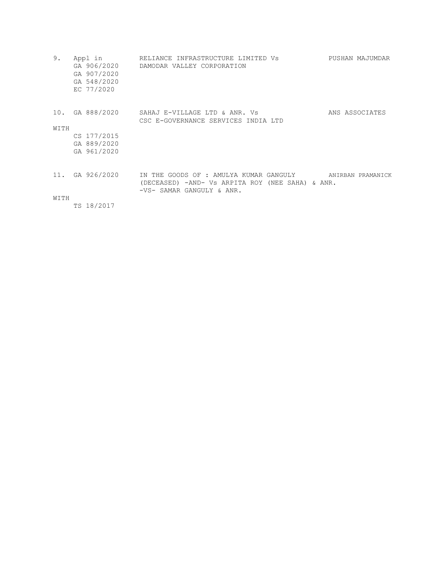| 9.          | Appl in<br>GA 907/2020<br>GA 548/2020<br>EC 77/2020 | RELIANCE INFRASTRUCTURE LIMITED Vs<br>GA 906/2020 DAMODAR VALLEY CORPORATION                                            | PUSHAN MAJUMDAR   |
|-------------|-----------------------------------------------------|-------------------------------------------------------------------------------------------------------------------------|-------------------|
| 10.<br>WITH |                                                     | GA 888/2020 SAHAJ E-VILLAGE LTD & ANR. Vs<br>CSC E-GOVERNANCE SERVICES INDIA LTD                                        | ANS ASSOCIATES    |
|             | CS 177/2015                                         |                                                                                                                         |                   |
|             | GA 889/2020                                         |                                                                                                                         |                   |
|             | GA 961/2020                                         |                                                                                                                         |                   |
|             | 11. GA 926/2020                                     | IN THE GOODS OF : AMULYA KUMAR GANGULY<br>(DECEASED) -AND- Vs ARPITA ROY (NEE SAHA) & ANR.<br>-VS- SAMAR GANGULY & ANR. | ANIRBAN PRAMANICK |
| WITH        |                                                     |                                                                                                                         |                   |
|             | TS 18/2017                                          |                                                                                                                         |                   |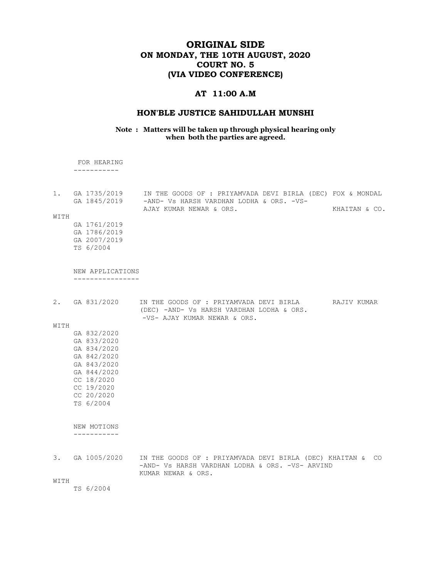# ORIGINAL SIDE ON MONDAY, THE 10TH AUGUST, 2020 COURT NO. 5 (VIA VIDEO CONFERENCE)

## AT 11:00 A.M

# HON'BLE JUSTICE SAHIDULLAH MUNSHI

#### Note : Matters will be taken up through physical hearing only when both the parties are agreed.

 FOR HEARING -----------

|  | 1. GA 1735/2019 |  |  | IN THE GOODS OF : PRIYAMVADA DEVI BIRLA (DEC) FOX & MONDAL |  |               |  |
|--|-----------------|--|--|------------------------------------------------------------|--|---------------|--|
|  | GA 1845/2019    |  |  | -AND- Vs HARSH VARDHAN LODHA & ORS. -VS-                   |  |               |  |
|  |                 |  |  | AJAY KUMAR NEWAR & ORS.                                    |  | KHAITAN & CO. |  |

WITH

 GA 1761/2019 GA 1786/2019 GA 2007/2019 TS 6/2004

 NEW APPLICATIONS ----------------

| 2.   | GA 831/2020  | IN THE GOODS OF : PRIYAMVADA DEVI BIRLA<br>RAJIV KUMAR<br>(DEC) -AND- Vs HARSH VARDHAN LODHA & ORS.<br>-VS- AJAY KUMAR NEWAR & ORS. |  |
|------|--------------|-------------------------------------------------------------------------------------------------------------------------------------|--|
| WITH |              |                                                                                                                                     |  |
|      | GA 832/2020  |                                                                                                                                     |  |
|      | GA 833/2020  |                                                                                                                                     |  |
|      | GA 834/2020  |                                                                                                                                     |  |
|      | GA 842/2020  |                                                                                                                                     |  |
|      | GA 843/2020  |                                                                                                                                     |  |
|      | GA 844/2020  |                                                                                                                                     |  |
|      | CC 18/2020   |                                                                                                                                     |  |
|      | CC 19/2020   |                                                                                                                                     |  |
|      | CC 20/2020   |                                                                                                                                     |  |
|      | TS 6/2004    |                                                                                                                                     |  |
|      |              |                                                                                                                                     |  |
|      | NEW MOTIONS  |                                                                                                                                     |  |
|      |              |                                                                                                                                     |  |
|      |              |                                                                                                                                     |  |
| 3.   | GA 1005/2020 | IN THE GOODS OF : PRIYAMVADA DEVI BIRLA (DEC) KHAITAN &<br>CO <sub>.</sub>                                                          |  |
|      |              | -AND- Vs HARSH VARDHAN LODHA & ORS. -VS- ARVIND<br>KUMAR NEWAR & ORS.                                                               |  |
| WITH |              |                                                                                                                                     |  |
|      | TS 6/2004    |                                                                                                                                     |  |
|      |              |                                                                                                                                     |  |
|      |              |                                                                                                                                     |  |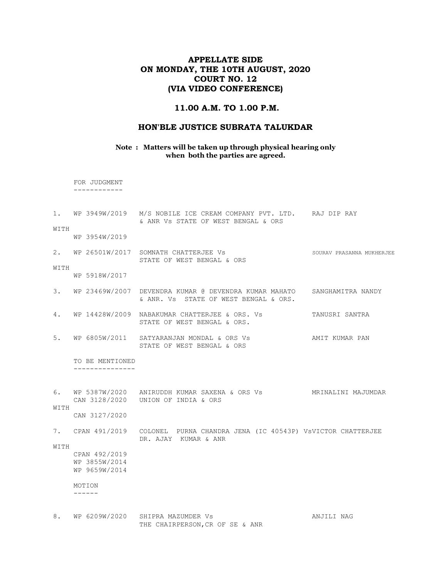# APPELLATE SIDE ON MONDAY, THE 10TH AUGUST, 2020 COURT NO. 12 (VIA VIDEO CONFERENCE)

#### 11.00 A.M. TO 1.00 P.M.

#### HON'BLE JUSTICE SUBRATA TALUKDAR

Note : Matters will be taken up through physical hearing only when both the parties are agreed.

 FOR JUDGMENT ------------

1. WP 3949W/2019 M/S NOBILE ICE CREAM COMPANY PVT. LTD. RAJ DIP RAY & ANR Vs STATE OF WEST BENGAL & ORS

WITH WP 3954W/2019

2. WP 26501W/2017 SOMNATH CHATTERJEE Vs SOURAV PRASANNA MUKHERJEE STATE OF WEST BENGAL & ORS WITH

WP 5918W/2017

- 3. WP 23469W/2007 DEVENDRA KUMAR @ DEVENDRA KUMAR MAHATO SANGHAMITRA NANDY & ANR. Vs STATE OF WEST BENGAL & ORS.
- 4. WP 14428W/2009 NABAKUMAR CHATTERJEE & ORS. Vs TANUSRI SANTRA STATE OF WEST BENGAL & ORS.
- 5. WP 6805W/2011 SATYARANJAN MONDAL & ORS Vs AMIT KUMAR PAN STATE OF WEST BENGAL & ORS

 TO BE MENTIONED ---------------

6. WP 5387W/2020 ANIRUDDH KUMAR SAXENA & ORS Vs MRINALINI MAJUMDAR CAN 3128/2020 UNION OF INDIA & ORS WITH

CAN 3127/2020

7. CPAN 491/2019 COLONEL PURNA CHANDRA JENA (IC 40543P) VsVICTOR CHATTERJEE DR. AJAY KUMAR & ANR

WITH

 CPAN 492/2019 WP 3855W/2014 WP 9659W/2014

#### MOTION

------

8. WP 6209W/2020 SHIPRA MAZUMDER Vs **ANJILI NAG** THE CHAIRPERSON,CR OF SE & ANR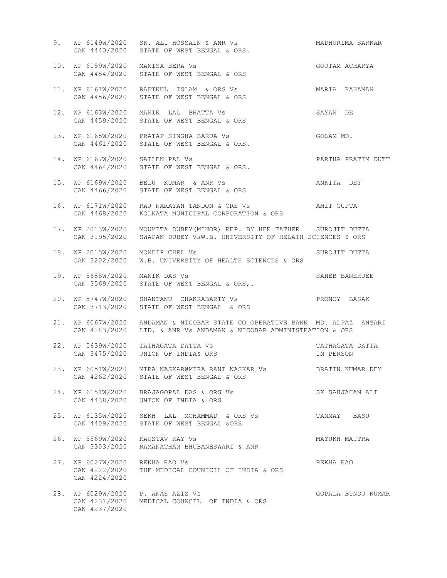| 9.  |                                                 | WP 6149W/2020 SK. ALI HOSSAIN & ANR Vs<br>CAN 4440/2020 STATE OF WEST BENGAL & ORS.                                                            | MADHURIMA SARKAR             |
|-----|-------------------------------------------------|------------------------------------------------------------------------------------------------------------------------------------------------|------------------------------|
| 10. | WP 6159W/2020 MANISA BERA Vs                    | CAN 4454/2020 STATE OF WEST BENGAL & ORS                                                                                                       | GOUTAM ACHARYA               |
| 11. |                                                 | WP 6161W/2020 RAFIKUL ISLAM & ORS Vs<br>CAN 4456/2020 STATE OF WEST BENGAL & ORS                                                               | MARIA RAHAMAN                |
|     |                                                 | 12. WP 6163W/2020 MANIK LAL BHATTA Vs<br>CAN 4459/2020 STATE OF WEST BENGAL & ORS                                                              | SAYAN DE                     |
| 13. |                                                 | WP 6165W/2020 PRATAP SINGHA BARUA Vs<br>CAN 4461/2020 STATE OF WEST BENGAL & ORS.                                                              | GOLAM MD.                    |
| 14. | WP 6167W/2020 SAILEN PAL Vs                     | CAN 4464/2020 STATE OF WEST BENGAL & ORS.                                                                                                      | PARTHA PRATIM DUTT           |
|     |                                                 | 15. WP 6169W/2020 BELU KUMAR & ANR Vs<br>CAN 4466/2020 STATE OF WEST BENGAL & ORS                                                              | ANKITA DEY                   |
| 16. |                                                 | WP 6171W/2020 RAJ NARAYAN TANDON & ORS Vs AMIT GUPTA<br>CAN 4468/2020 KOLKATA MUNICIPAL CORPORATION & ORS                                      |                              |
| 17. |                                                 | WP 2013W/2020 MOUMITA DUBEY (MINOR) REP. BY HER FATHER SUROJIT DUTTA<br>CAN 3195/2020 SWAPAN DUBEY VSW.B. UNIVERSITY OF HELATH SCIENCES & ORS  |                              |
| 18. | WP 2015W/2020 MONDIP CHEL Vs                    | CAN 3202/2020 W.B. UNIVERSITY OF HEALTH SCIENCES & ORS                                                                                         | SUROJIT DUTTA                |
| 19. | WP 5685W/2020 MANIK DAS Vs                      | CAN 3569/2020 STATE OF WEST BENGAL & ORS,.                                                                                                     | SAHEB BANERJEE               |
| 20. |                                                 | WP 5747W/2020 SHANTANU CHAKRABARTY Vs<br>CAN 3713/2020 STATE OF WEST BENGAL & ORS                                                              | PRONOY BASAK                 |
| 21. |                                                 | WP 6067W/2020 ANDAMAN & NICOBAR STATE CO OPERATIVE BANK MD. ALPAZ ANSARI<br>CAN 4283/2020 LTD. & ANR Vs ANDAMAN & NICOBAR ADMINISTRATION & ORS |                              |
| 22. |                                                 | WP 5639W/2020 TATHAGATA DATTA Vs<br>CAN 3475/2020 UNION OF INDIA& ORS                                                                          | TATHAGATA DATTA<br>IN PERSON |
| 23. |                                                 | WP 6051W/2020 MIRA NASKAR@MIRA RANI NASKAR Vs<br>CAN 4262/2020 STATE OF WEST BENGAL & ORS                                                      | BRATIN KUMAR DEY             |
| 24. | CAN 4438/2020                                   | WP 6151W/2020 BRAJAGOPAL DAS & ORS Vs<br>UNION OF INDIA & ORS                                                                                  | SK SAHJAHAN ALI              |
| 25. |                                                 | WP 6135W/2020 SEKH LAL MOHAMMAD & ORS Vs<br>CAN 4409/2020 STATE OF WEST BENGAL &ORS                                                            | TANMAY BASU                  |
| 26. | WP 5569W/2020                                   | KAUSTAV RAY Vs<br>CAN 3303/2020 RAMANATHAN BHUBANESWARI & ANR                                                                                  | MAYUKH MAITRA                |
| 27. | WP 6027W/2020<br>CAN 4222/2020<br>CAN 4224/2020 | REKHA RAO Vs<br>THE MEDICAL COUNICIL OF INDIA & ORS                                                                                            | REKHA RAO                    |
| 28. | WP 6029W/2020<br>CAN 4231/2020<br>CAN 4237/2020 | P. ANAS AZIZ Vs<br>MEDICAL COUNCIL OF INDIA & ORS                                                                                              | GOPALA BINDU KUMAR           |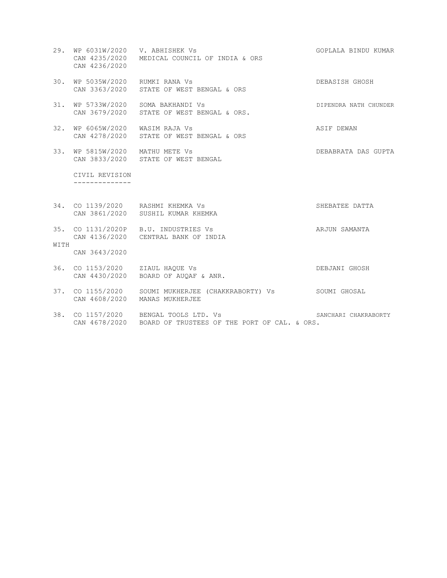- 29. WP 6031W/2020 V. ABHISHEK Vs GOPLALA BINDU KUMAR CAN 4235/2020 MEDICAL COUNCIL OF INDIA & ORS CAN 4236/2020
- 30. WP 5035W/2020 RUMKI RANA Vs DEBASISH GHOSH CAN 3363/2020 STATE OF WEST BENGAL & ORS
- 31. WP 5733W/2020 SOMA BAKHANDI Vs Superintendent of the Dipendent Nath Chunder CAN 3679/2020 STATE OF WEST BENGAL & ORS.
- 32. WP 6065W/2020 WASIM RAJA Vs ASIF DEWAN CAN 4278/2020 STATE OF WEST BENGAL & ORS
- 33. WP 5815W/2020 MATHU METE Vs DEBABRATA DAS GUPTA CAN 3833/2020 STATE OF WEST BENGAL

 CIVIL REVISION --------------

- 34. CO 1139/2020 RASHMI KHEMKA Vs SHEBATEE DATTA CAN 3861/2020 SUSHIL KUMAR KHEMKA
- 35. CO 1131/2020P B.U. INDUSTRIES Vs ARJUN SAMANTA CAN 4136/2020 CENTRAL BANK OF INDIA WITH

CAN 3643/2020

- 36. CO 1153/2020 ZIAUL HAQUE Vs DEBJANI GHOSH CAN 4430/2020 BOARD OF AUQAF & ANR.
- 37. CO 1155/2020 SOUMI MUKHERJEE (CHAKKRABORTY) Vs SOUMI GHOSAL CAN 4608/2020 MANAS MUKHERJEE
- 38. CO 1157/2020 BENGAL TOOLS LTD. Vs SANCHARI CHAKRABORTY CAN 4678/2020 BOARD OF TRUSTEES OF THE PORT OF CAL. & ORS.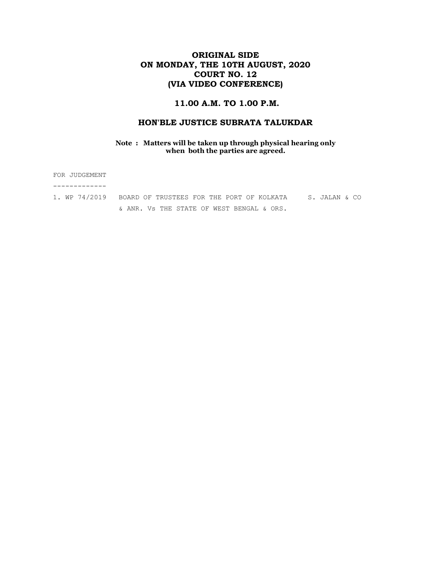# ORIGINAL SIDE ON MONDAY, THE 10TH AUGUST, 2020 COURT NO. 12 (VIA VIDEO CONFERENCE)

### 11.00 A.M. TO 1.00 P.M.

### HON'BLE JUSTICE SUBRATA TALUKDAR

#### Note : Matters will be taken up through physical hearing only when both the parties are agreed.

FOR JUDGEMENT ------------- 1. WP 74/2019 BOARD OF TRUSTEES FOR THE PORT OF KOLKATA S. JALAN & CO & ANR. Vs THE STATE OF WEST BENGAL & ORS.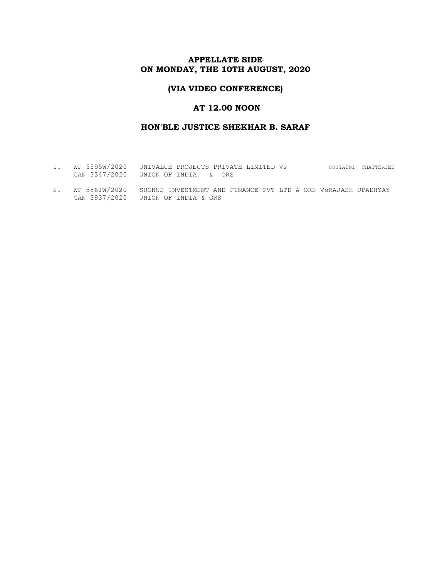# APPELLATE SIDE ON MONDAY, THE 10TH AUGUST, 2020

## (VIA VIDEO CONFERENCE)

### AT 12.00 NOON

### HON'BLE JUSTICE SHEKHAR B. SARAF

- 1. WP 5595W/2020 UNIVALUE PROJECTS PRIVATE LIMITED Vs UJJIAINI CHATTERJEE CAN 3347/2020 UNION OF INDIA & ORS
- 2. WP 5861W/2020 SUGNUS INVESTMENT AND FINANCE PVT LTD & ORS VsRAJASH UPADHYAY CAN 3937/2020 UNION OF INDIA & ORS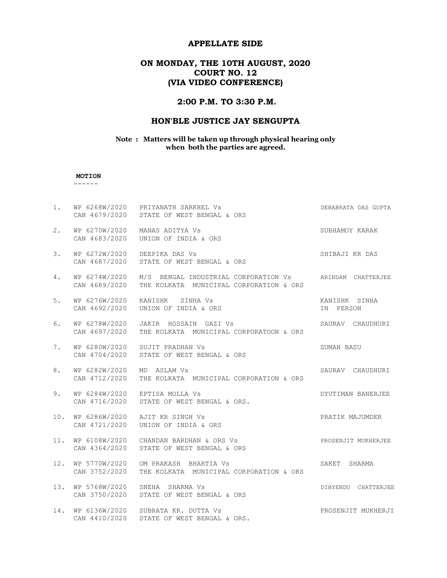#### APPELLATE SIDE

# ON MONDAY, THE 10TH AUGUST, 2020 COURT NO. 12 (VIA VIDEO CONFERENCE)

# 2:00 P.M. TO 3:30 P.M.

# HON'BLE JUSTICE JAY SENGUPTA

#### Note : Matters will be taken up through physical hearing only when both the parties are agreed.

#### MOTION

------

| 1.  |                                | WP 6268W/2020 PRIYANATH SARKHEL Vs<br>CAN 4679/2020 STATE OF WEST BENGAL & ORS                                           | DEBABRATA DAS GUPTA        |
|-----|--------------------------------|--------------------------------------------------------------------------------------------------------------------------|----------------------------|
| 2.  |                                | WP 6270W/2020 MANAS ADITYA Vs<br>CAN 4683/2020 UNION OF INDIA & ORS                                                      | SUBHAMOY KARAK             |
| 3.  |                                | WP 6272W/2020 DEEPIKA DAS Vs<br>CAN 4687/2020 STATE OF WEST BENGAL & ORS                                                 | SHIBAJI KR DAS             |
| 4.  | CAN 4689/2020                  | WP 6274W/2020 M/S BENGAL INDUSTRIAL CORPORATION Vs ARINDAM CHATTERJEE<br>THE KOLKATA MUNICIPAL CORPORATION & ORS         |                            |
| 5.  | WP 6276W/2020                  | KANISHK SINHA Vs<br>WE UZIOWIZUZU AANISAN SINHA VS<br>CAN 4692/2020 UNION OF INDIA & ORS                                 | KANISHK SINHA<br>IN PERSON |
| 6.  |                                | WP 6278W/2020 JAKIR HOSSAIN GAZI Vs<br>CAN 4697/2020 THE KOLKATA MUNICIPAL CORPORATOON & ORS                             | SAURAV CHAUDHURI           |
| 7.  |                                | WP 6280W/2020 SUJIT PRADHAN Vs<br>CAN 4704/2020 STATE OF WEST BENGAL & ORS                                               | SUMAN BASU                 |
| 8.  | WP 6282W/2020<br>CAN 4712/2020 | MD ASLAM Vs<br>THE KOLKATA MUNICIPAL CORPORATION & ORS                                                                   | SAURAV CHAUDHURI           |
| 9.  |                                | WP 6284W/2020 EPTISA MOLLA Vs<br>CAN 4716/2020 STATE OF WEST BENGAL & ORS.                                               | DYUTIMAN BANERJEE          |
| 10. |                                | WP 6286W/2020 AJIT KR SINGH Vs<br>CAN 4721/2020    UNION OF INDIA & ORS                                                  | PRATIK MAJUMDER            |
|     |                                | 11. WP 6108W/2020 CHANDAN BARDHAN & ORS Vs Sammer School PROSENJIT MUKHERJEE<br>CAN 4364/2020 STATE OF WEST BENGAL & ORS |                            |
| 12. |                                | WP 5770W/2020 OM PRAKASH BHARTIA Vs<br>CAN 3752/2020 THE KOLKATA MUNICIPAL CORPORATION & ORS                             | SAKET SHARMA               |
| 13. |                                | WP 5768W/2020 SNEHA SHARMA Vs<br>CAN 3750/2020 STATE OF WEST BENGAL & ORS                                                | DIBYENDU CHATTERJEE        |
| 14. | CAN 4410/2020                  | WP 6136W/2020 SUBRATA KR. DUTTA Vs<br>STATE OF WEST BENGAL & ORS.                                                        | PROSENJIT MUKHERJI         |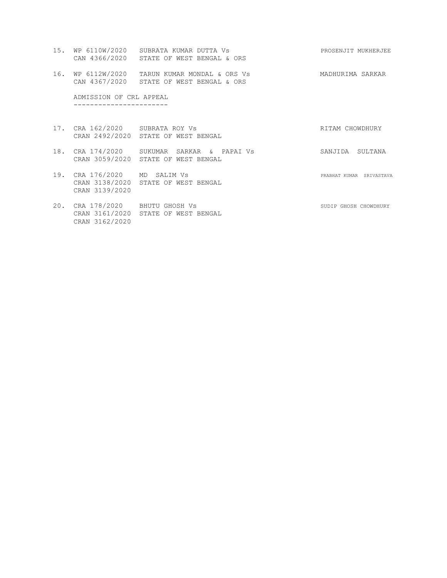- 15. WP 6110W/2020 SUBRATA KUMAR DUTTA Vs PROSENJIT MUKHERJEE CAN 4366/2020 STATE OF WEST BENGAL & ORS
- 16. WP 6112W/2020 TARUN KUMAR MONDAL & ORS Vs MADHURIMA SARKAR CAN 4367/2020 STATE OF WEST BENGAL & ORS

 ADMISSION OF CRL APPEAL -----------------------

- 17. CRA 162/2020 SUBRATA ROY Vs RITAM CHOWDHURY CRAN 2492/2020 STATE OF WEST BENGAL
- 18. CRA 174/2020 SUKUMAR SARKAR & PAPAI Vs SANJIDA SULTANA CRAN 3059/2020 STATE OF WEST BENGAL
- 19. CRA 176/2020 MD SALIM Vs **PRABHAT KUMAR SRIVASTAVA**  CRAN 3138/2020 STATE OF WEST BENGAL CRAN 3139/2020
- 20. CRA 178/2020 BHUTU GHOSH Vs SUDIP GHOSH CHOWDHURY CRAN 3161/2020 STATE OF WEST BENGAL CRAN 3162/2020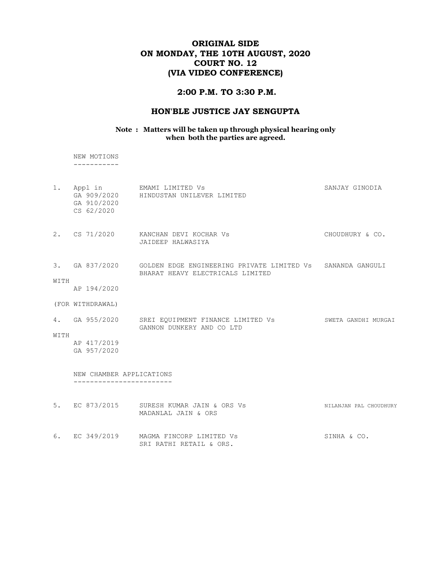# ORIGINAL SIDE ON MONDAY, THE 10TH AUGUST, 2020 COURT NO. 12 (VIA VIDEO CONFERENCE)

#### 2:00 P.M. TO 3:30 P.M.

# HON'BLE JUSTICE JAY SENGUPTA

#### Note : Matters will be taken up through physical hearing only when both the parties are agreed.

 NEW MOTIONS -----------

|      | GA 910/2020<br>CS 62/2020  | 1. Appl in EMAMI LIMITED Vs<br>GA 909/2020 HINDUSTAN UNILEVER LIMITED                                         | SANJAY GINODIA         |
|------|----------------------------|---------------------------------------------------------------------------------------------------------------|------------------------|
|      |                            | 2. CS 71/2020 KANCHAN DEVI KOCHAR Vs<br>JAIDEEP HALWASIYA                                                     | CHOUDHURY & CO.        |
|      |                            | 3. GA 837/2020 GOLDEN EDGE ENGINEERING PRIVATE LIMITED Vs SANANDA GANGULI<br>BHARAT HEAVY ELECTRICALS LIMITED |                        |
| WITH | AP 194/2020                |                                                                                                               |                        |
|      | (FOR WITHDRAWAL)           |                                                                                                               |                        |
|      |                            | 4. GA 955/2020 SREI EQUIPMENT FINANCE LIMITED Vs<br>GANNON DUNKERY AND CO LTD                                 | SWETA GANDHI MURGAI    |
| WITH | AP 417/2019<br>GA 957/2020 |                                                                                                               |                        |
|      | NEW CHAMBER APPLICATIONS   |                                                                                                               |                        |
|      |                            | 5. EC 873/2015 SURESH KUMAR JAIN & ORS Vs<br>MADANLAL JAIN & ORS                                              | NILANJAN PAL CHOUDHURY |

6. EC 349/2019 MAGMA FINCORP LIMITED Vs SINHA & CO. SRI RATHI RETAIL & ORS.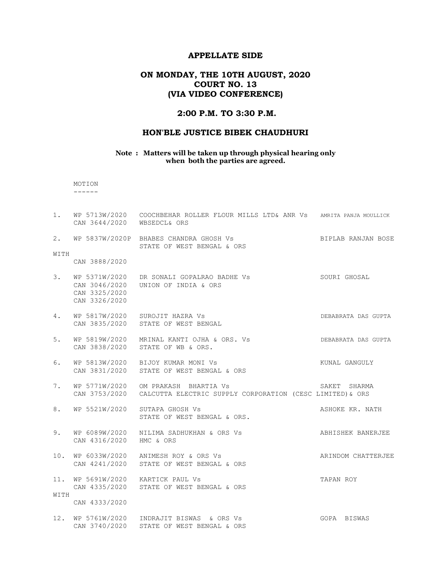### APPELLATE SIDE

# ON MONDAY, THE 10TH AUGUST, 2020 COURT NO. 13 (VIA VIDEO CONFERENCE)

### 2:00 P.M. TO 3:30 P.M.

### HON'BLE JUSTICE BIBEK CHAUDHURI

#### Note : Matters will be taken up through physical hearing only when both the parties are agreed.

 MOTION ------

| 1.   | CAN 3644/2020 WBSEDCL& ORS                      | WP 5713W/2020 COOCHBEHAR ROLLER FLOUR MILLS LTD& ANR VS AMRITA PANJA MOULLICK                                  |                     |
|------|-------------------------------------------------|----------------------------------------------------------------------------------------------------------------|---------------------|
| 2.   |                                                 | WP 5837W/2020P BHABES CHANDRA GHOSH Vs<br>STATE OF WEST BENGAL & ORS                                           | BIPLAB RANJAN BOSE  |
| WITH | CAN 3888/2020                                   |                                                                                                                |                     |
| 3.   | WP 5371W/2020<br>CAN 3325/2020<br>CAN 3326/2020 | DR SONALI GOPALRAO BADHE VS<br>CAN 3046/2020 UNION OF INDIA & ORS                                              | SOURI GHOSAL        |
| 4.   |                                                 | WP 5817W/2020 SUROJIT HAZRA Vs<br>CAN 3835/2020 STATE OF WEST BENGAL                                           | DEBABRATA DAS GUPTA |
| 5.   |                                                 | WP 5819W/2020 MRINAL KANTI OJHA & ORS. Vs<br>CAN 3838/2020 STATE OF WB & ORS.                                  | DEBABRATA DAS GUPTA |
| 6.   |                                                 | WP 5813W/2020 BIJOY KUMAR MONI Vs<br>CAN 3831/2020 STATE OF WEST BENGAL & ORS                                  | KUNAL GANGULY       |
| 7.   |                                                 | WP 5771W/2020 OM PRAKASH BHARTIA Vs<br>CAN 3753/2020 CALCUTTA ELECTRIC SUPPLY CORPORATION (CESC LIMITED) & ORS | SAKET SHARMA        |
| 8.   |                                                 | WP 5521W/2020 SUTAPA GHOSH Vs<br>STATE OF WEST BENGAL & ORS.                                                   | ASHOKE KR. NATH     |
| 9.   | CAN 4316/2020 HMC & ORS                         | WP 6089W/2020  NILIMA SADHUKHAN & ORS Vs                                                                       | ABHISHEK BANERJEE   |
| 10.  |                                                 | WP 6033W/2020 ANIMESH ROY & ORS Vs<br>CAN 4241/2020 STATE OF WEST BENGAL & ORS                                 | ARINDOM CHATTERJEE  |
| WITH | 11. WP 5691W/2020 KARTICK PAUL Vs               | CAN 4335/2020 STATE OF WEST BENGAL & ORS                                                                       | TAPAN ROY           |
|      | CAN 4333/2020                                   |                                                                                                                |                     |
|      | CAN 3740/2020                                   | 12. WP 5761W/2020 INDRAJIT BISWAS & ORS Vs<br>STATE OF WEST BENGAL & ORS                                       | GOPA BISWAS         |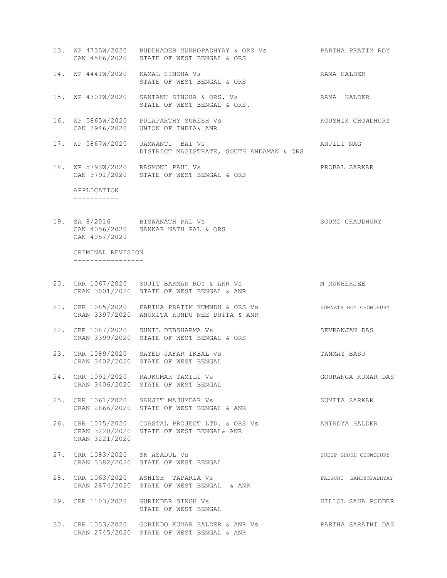- 13. WP 4735W/2020 BUDDHADEB MUKHOPADHYAY & ORS Vs PARTHA PRATIM ROY CAN 4586/2020 STATE OF WEST BENGAL & ORS
- 14. WP 4441W/2020 KAMAL SINGHA Vs RAMA HALDER STATE OF WEST BENGAL & ORS
- 15. WP 4301W/2020 SANTANU SINGHA & ORS. Vs RAMA HALDER STATE OF WEST BENGAL & ORS.
- 16. WP 5865W/2020 PULAPARTHY SURESH Vs KOUSHIK CHOWDHURY CAN 3946/2020 UNION OF INDIA& ANR
- 17. WP 5867W/2020 JAMWANTI BAI Vs ANJILI NAG DISTRICT MAGISTRATE, SOUTH ANDAMAN & ORS
- 18. WP 5793W/2020 RASMONI PAUL Vs PROBAL SARKAR CAN 3791/2020 STATE OF WEST BENGAL & ORS

 APPLICATION -----------

19. SA 8/2016 BISWANATH PAL Vs SOUMO CHAUDHURY CAN 4056/2020 SANKAR NATH PAL & ORS CAN 4057/2020

 CRIMINAL REVISION -----------------

- 20. CRR 1067/2020 SUJIT BARMAN ROY & ANR Vs MONTHAMER MUKHERJEE CRAN 3001/2020 STATE OF WEST BENGAL & ANR
- 21. CRR 1085/2020 PARTHA PRATIM KUMNDU & ORS Vs SOMNATH ROY CHOWDHURY CRAN 3397/2020 ANUMITA KUNDU NEE DUTTA & ANR
- 22. CRR 1087/2020 SUNIL DEBSHARMA Vs DEVRANJAN DAS CRAN 3399/2020 STATE OF WEST BENGAL & ORS
- 23. CRR 1089/2020 SAYED JAFAR IKBAL Vs TANMAY BASU CRAN 3402/2020 STATE OF WEST BENGAL
- 24. CRR 1091/2020 RAJKUMAR TAMILI Vs GOURANGA KUMAR DAS CRAN 3406/2020 STATE OF WEST BENGAL
- 25. CRR 1061/2020 SANJIT MAJUMDAR Vs SUMITA SARKAR CRAN 2866/2020 STATE OF WEST BENGAL & ANR
- 26. CRR 1075/2020 COASTAL PROJECT LTD. & ORS Vs ANINDYA HALDER CRAN 3220/2020 STATE OF WEST BENGAL& ANR CRAN 3221/2020
- 27. CRR 1083/2020 SK ASADUL Vs SUDIP GHOSH CHOWDHURY CRAN 3382/2020 STATE OF WEST BENGAL
- 28. CRR 1063/2020 ASHISH TAPARIA Vs FALGUNI BANDYOPADHYAY CRAN 2874/2020 STATE OF WEST BENGAL & ANR
- 29. CRR 1103/2020 GURINDER SINGH Vs **HILLOL SAHA PODDER** STATE OF WEST BENGAL
- 30. CRR 1053/2020 GOBINDO KUMAR HALDER & ANR Vs PARTHA SARATHI DAS CRAN 2745/2020 STATE OF WEST BENGAL & ANR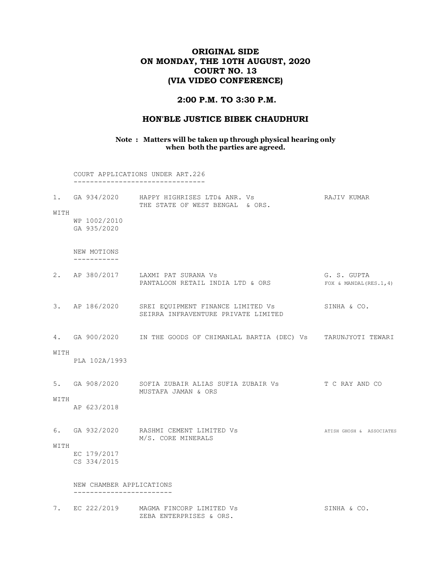# ORIGINAL SIDE ON MONDAY, THE 10TH AUGUST, 2020 COURT NO. 13 (VIA VIDEO CONFERENCE)

#### 2:00 P.M. TO 3:30 P.M.

#### HON'BLE JUSTICE BIBEK CHAUDHURI

#### Note : Matters will be taken up through physical hearing only when both the parties are agreed.

 COURT APPLICATIONS UNDER ART.226 --------------------------------

| $1$ .<br>WITH |                             | GA 934/2020     HAPPY HIGHRISES LTD& ANR. Vs<br>THE STATE OF WEST BENGAL<br>& ORS. | RAJIV KUMAR                              |
|---------------|-----------------------------|------------------------------------------------------------------------------------|------------------------------------------|
|               | WP 1002/2010<br>GA 935/2020 |                                                                                    |                                          |
|               | NEW MOTIONS                 |                                                                                    |                                          |
| 2.            | AP 380/2017                 | LAXMI PAT SURANA Vs<br>PANTALOON RETAIL INDIA LTD & ORS                            | G. S. GUPTA<br>FOX & MANDAL $(RES.1, 4)$ |
| 3.            | AP 186/2020                 | SREI EQUIPMENT FINANCE LIMITED Vs<br>SEIRRA INFRAVENTURE PRIVATE LIMITED           | SINHA & CO.                              |

4. GA 900/2020 IN THE GOODS OF CHIMANLAL BARTIA (DEC) Vs TARUNJYOTI TEWARI

#### WITH

PLA 102A/1993

5. GA 908/2020 SOFIA ZUBAIR ALIAS SUFIA ZUBAIR Vs T C RAY AND CO MUSTAFA JAMAN & ORS

WITH

- AP 623/2018
- 6. GA 932/2020 RASHMI CEMENT LIMITED Vs AND ATISH GHOSH & ASSOCIATES M/S. CORE MINERALS WITH

EC 179/2017

CS 334/2015

 NEW CHAMBER APPLICATIONS ------------------------

7. EC 222/2019 MAGMA FINCORP LIMITED Vs SINHA & CO. ZEBA ENTERPRISES & ORS.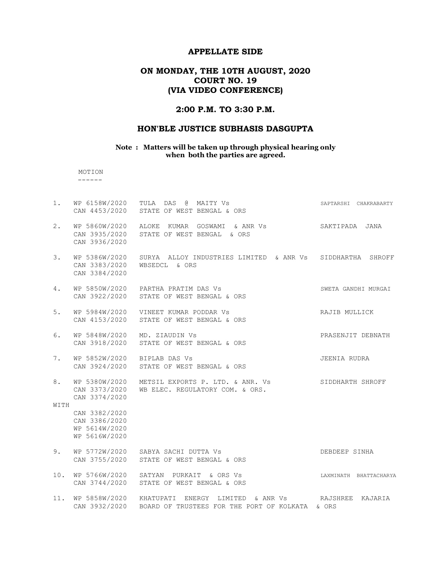#### APPELLATE SIDE

# ON MONDAY, THE 10TH AUGUST, 2020 COURT NO. 19 (VIA VIDEO CONFERENCE)

### 2:00 P.M. TO 3:30 P.M.

### HON'BLE JUSTICE SUBHASIS DASGUPTA

#### Note : Matters will be taken up through physical hearing only when both the parties are agreed.

 MOTION ------

| 1.         | CAN 4453/2020                                                    | WP 6158W/2020 TULA DAS @ MAITY Vs<br>STATE OF WEST BENGAL & ORS                                    | SAPTARSHI CHAKRABARTY  |
|------------|------------------------------------------------------------------|----------------------------------------------------------------------------------------------------|------------------------|
| 2.         | CAN 3936/2020                                                    | WP 5860W/2020 ALOKE KUMAR GOSWAMI & ANR Vs<br>CAN 3935/2020 STATE OF WEST BENGAL & ORS             | SAKTIPADA<br>JANA      |
| 3.         | WP 5386W/2020<br>CAN 3383/2020<br>CAN 3384/2020                  | SURYA ALLOY INDUSTRIES LIMITED & ANR Vs SIDDHARTHA SHROFF<br>WBSEDCL & ORS                         |                        |
| 4.         |                                                                  | WP 5850W/2020 PARTHA PRATIM DAS Vs<br>CAN 3922/2020 STATE OF WEST BENGAL & ORS                     | SWETA GANDHI MURGAI    |
| 5.         | CAN 4153/2020                                                    | WP 5984W/2020 VINEET KUMAR PODDAR Vs<br>STATE OF WEST BENGAL & ORS                                 | RAJIB MULLICK          |
| 6.         | CAN 3918/2020                                                    | WP 5848W/2020 MD. ZIAUDIN Vs<br>STATE OF WEST BENGAL & ORS                                         | PRASENJIT DEBNATH      |
| 7.         | WP 5852W/2020 BIPLAB DAS Vs                                      | CAN 3924/2020 STATE OF WEST BENGAL & ORS                                                           | JEENIA RUDRA           |
| 8.<br>WITH | CAN 3374/2020                                                    | WP 5380W/2020 METSIL EXPORTS P. LTD. & ANR. Vs<br>CAN 3373/2020 WB ELEC. REGULATORY COM. & ORS.    | SIDDHARTH SHROFF       |
|            | CAN 3382/2020<br>CAN 3386/2020<br>WP 5614W/2020<br>WP 5616W/2020 |                                                                                                    |                        |
| 9.         |                                                                  | WP 5772W/2020 SABYA SACHI DUTTA Vs<br>CAN 3755/2020 STATE OF WEST BENGAL & ORS                     | DEBDEEP SINHA          |
| 10.        | CAN 3744/2020                                                    | WP 5766W/2020 SATYAN PURKAIT & ORS Vs<br>STATE OF WEST BENGAL & ORS                                | LAXMINATH BHATTACHARYA |
| 11.        | CAN 3932/2020                                                    | WP 5858W/2020 KHATUPATI ENERGY LIMITED & ANR Vs<br>BOARD OF TRUSTEES FOR THE PORT OF KOLKATA & ORS | RAJSHREE<br>KAJARIA    |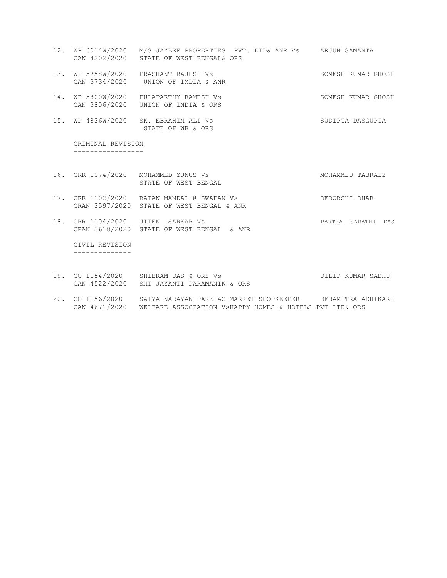- 12. WP 6014W/2020 M/S JAYBEE PROPERTIES PVT. LTD& ANR Vs ARJUN SAMANTA CAN 4202/2020 STATE OF WEST BENGAL& ORS
- 13. WP 5758W/2020 PRASHANT RAJESH Vs SOMESH KUMAR GHOSH CAN 3734/2020 UNION OF IMDIA & ANR
- 14. WP 5800W/2020 PULAPARTHY RAMESH Vs SOMESH SOMESH KUMAR GHOSH CAN 3806/2020 UNION OF INDIA & ORS
- 15. WP 4836W/2020 SK. EBRAHIM ALI Vs SUDIPTA DASGUPTA STATE OF WB & ORS

 CRIMINAL REVISION -----------------

- 16. CRR 1074/2020 MOHAMMED YUNUS Vs MOHAMMED TABRAIZ STATE OF WEST BENGAL
- 17. CRR 1102/2020 RATAN MANDAL @ SWAPAN Vs DEBORSHI DHAR CRAN 3597/2020 STATE OF WEST BENGAL & ANR
- 18. CRR 1104/2020 JITEN SARKAR Vs PARTHA SARATHI DAS CRAN 3618/2020 STATE OF WEST BENGAL & ANR

 CIVIL REVISION --------------

- 19. CO 1154/2020 SHIBRAM DAS & ORS Vs DILIP KUMAR SADHU CAN 4522/2020 SMT JAYANTI PARAMANIK & ORS
- 20. CO 1156/2020 SATYA NARAYAN PARK AC MARKET SHOPKEEPER DEBAMITRA ADHIKARI CAN 4671/2020 WELFARE ASSOCIATION VsHAPPY HOMES & HOTELS PVT LTD& ORS